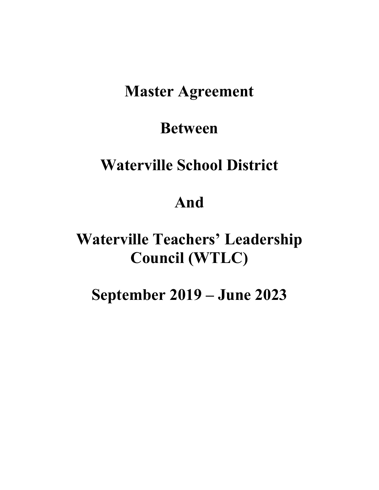# **Master Agreement**

# **Between**

# **Waterville School District**

# **And**

# **Waterville Teachers' Leadership Council (WTLC)**

# **September 2019 – June 2023**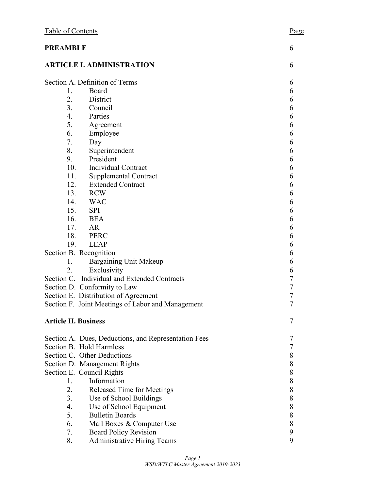| Table of Contents<br><b>PREAMBLE</b> |                                                      | Page             |
|--------------------------------------|------------------------------------------------------|------------------|
|                                      |                                                      | 6                |
|                                      | <b>ARTICLE I. ADMINISTRATION</b>                     | 6                |
|                                      | Section A. Definition of Terms                       | 6                |
| 1.                                   | Board                                                | 6                |
| 2.                                   | District                                             | 6                |
| 3.                                   | Council                                              | 6                |
| 4.                                   | Parties                                              | 6                |
| 5.                                   | Agreement                                            | 6                |
| 6.                                   | Employee                                             | 6                |
| 7.                                   | Day                                                  | 6                |
| 8.                                   | Superintendent                                       | 6                |
| 9.                                   | President                                            | 6                |
| 10.                                  | Individual Contract                                  | 6                |
| 11.                                  | <b>Supplemental Contract</b>                         | 6                |
|                                      | 12.<br><b>Extended Contract</b>                      | 6                |
| 13.                                  | <b>RCW</b>                                           | 6                |
| 14.                                  | <b>WAC</b>                                           | 6                |
| 15.                                  | <b>SPI</b>                                           | 6                |
| 16.                                  | <b>BEA</b>                                           | 6                |
| 17.                                  | AR                                                   | 6                |
| 18.                                  | <b>PERC</b>                                          | 6                |
| 19.                                  | <b>LEAP</b>                                          | 6                |
|                                      | Section B. Recognition                               | 6                |
| 1.                                   | <b>Bargaining Unit Makeup</b>                        | 6                |
| 2.                                   | Exclusivity                                          | 6                |
|                                      | Section C. Individual and Extended Contracts         | $\overline{7}$   |
|                                      | Section D. Conformity to Law                         | $\overline{7}$   |
|                                      | Section E. Distribution of Agreement                 | 7                |
|                                      | Section F. Joint Meetings of Labor and Management    | $\boldsymbol{7}$ |
| <b>Article II. Business</b>          |                                                      | 7                |
|                                      | Section A. Dues, Deductions, and Representation Fees | 7                |
|                                      | Section B. Hold Harmless                             | 7                |
|                                      | Section C. Other Deductions                          | 8                |
|                                      | Section D. Management Rights                         | $8\,$            |
|                                      | Section E. Council Rights                            | $8\,$            |
| 1.                                   | Information                                          | 8                |
| 2.                                   | Released Time for Meetings                           | 8                |
| 3.                                   | Use of School Buildings                              | 8                |
| 4.                                   | Use of School Equipment                              | $8\,$            |
| 5.                                   | <b>Bulletin Boards</b>                               | $8\,$            |
| 6.                                   | Mail Boxes & Computer Use                            | 8                |
| 7.                                   | <b>Board Policy Revision</b>                         | 9                |
| 8.                                   | <b>Administrative Hiring Teams</b>                   | 9                |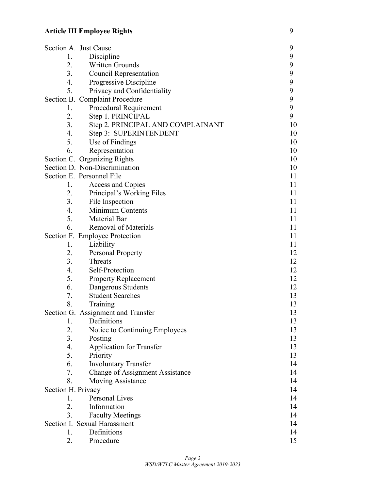## **Article III Employee Rights** 9

|                    | Section A. Just Cause              | 9  |
|--------------------|------------------------------------|----|
| 1.                 | Discipline                         | 9  |
| 2.                 | Written Grounds                    | 9  |
| 3.                 | <b>Council Representation</b>      | 9  |
| 4.                 | Progressive Discipline             | 9  |
| 5.                 | Privacy and Confidentiality        | 9  |
|                    | Section B. Complaint Procedure     | 9  |
| 1.                 | Procedural Requirement             | 9  |
| 2.                 | Step 1. PRINCIPAL                  | 9  |
| 3.                 | Step 2. PRINCIPAL AND COMPLAINANT  | 10 |
| 4.                 | Step 3: SUPERINTENDENT             | 10 |
| 5.                 | Use of Findings                    | 10 |
| 6.                 | Representation                     | 10 |
|                    | Section C. Organizing Rights       | 10 |
|                    | Section D. Non-Discrimination      | 10 |
|                    | Section E. Personnel File          | 11 |
| 1.                 | Access and Copies                  | 11 |
| 2.                 | Principal's Working Files          | 11 |
| 3.                 | File Inspection                    | 11 |
| 4.                 | Minimum Contents                   | 11 |
| 5.                 | Material Bar                       | 11 |
| 6.                 | <b>Removal of Materials</b>        | 11 |
|                    | Section F. Employee Protection     | 11 |
| 1.                 | Liability                          | 11 |
| 2.                 | <b>Personal Property</b>           | 12 |
| 3.                 | Threats                            | 12 |
| 4.                 | Self-Protection                    | 12 |
| 5.                 | <b>Property Replacement</b>        | 12 |
| 6.                 | Dangerous Students                 | 12 |
| 7.                 | <b>Student Searches</b>            | 13 |
| 8.                 | Training                           | 13 |
|                    | Section G. Assignment and Transfer | 13 |
| 1.                 | Definitions                        | 13 |
| 2.                 | Notice to Continuing Employees     | 13 |
| 3.                 | Posting                            | 13 |
| 4.                 | <b>Application for Transfer</b>    | 13 |
| 5.                 | Priority                           | 13 |
| 6.                 | <b>Involuntary Transfer</b>        | 14 |
| 7.                 | Change of Assignment Assistance    | 14 |
| 8.                 | <b>Moving Assistance</b>           | 14 |
| Section H. Privacy |                                    | 14 |
| 1.                 | Personal Lives                     | 14 |
| 2.                 | Information                        | 14 |
| 3.                 | <b>Faculty Meetings</b>            | 14 |
|                    | Section I. Sexual Harassment       | 14 |
| 1.                 | Definitions                        | 14 |
| 2.                 | Procedure                          | 15 |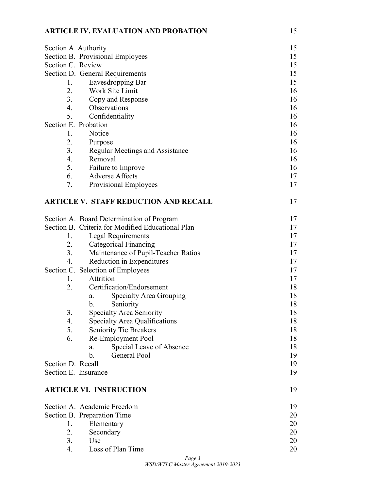### **ARTICLE IV. EVALUATION AND PROBATION** 15

| Section A. Authority |                                                   | 15       |  |  |  |
|----------------------|---------------------------------------------------|----------|--|--|--|
|                      | Section B. Provisional Employees                  |          |  |  |  |
| Section C. Review    |                                                   |          |  |  |  |
|                      | Section D. General Requirements                   |          |  |  |  |
| 1.                   | Eavesdropping Bar                                 | 15       |  |  |  |
| 2.                   | Work Site Limit                                   | 16       |  |  |  |
| 3.                   | Copy and Response                                 | 16       |  |  |  |
| 4.                   | Observations                                      | 16       |  |  |  |
| 5.                   | Confidentiality                                   | 16       |  |  |  |
| Section E. Probation |                                                   | 16       |  |  |  |
| 1.                   | Notice                                            | 16       |  |  |  |
| 2.                   | Purpose                                           | 16       |  |  |  |
| 3.                   | Regular Meetings and Assistance                   | 16       |  |  |  |
| 4.                   | Removal                                           | 16       |  |  |  |
| 5.                   | Failure to Improve                                | 16       |  |  |  |
| 6.                   | <b>Adverse Affects</b>                            | 17       |  |  |  |
| 7.                   | Provisional Employees                             | 17       |  |  |  |
|                      | <b>ARTICLE V. STAFF REDUCTION AND RECALL</b>      | 17       |  |  |  |
|                      | Section A. Board Determination of Program         | 17       |  |  |  |
|                      | Section B. Criteria for Modified Educational Plan | 17       |  |  |  |
| 1.                   | <b>Legal Requirements</b>                         | 17       |  |  |  |
| 2.                   | <b>Categorical Financing</b>                      | 17       |  |  |  |
| 3.                   | Maintenance of Pupil-Teacher Ratios               | 17       |  |  |  |
| 4.                   | Reduction in Expenditures                         | 17       |  |  |  |
|                      | Section C. Selection of Employees                 | 17       |  |  |  |
| 1.                   | Attrition                                         | 17       |  |  |  |
| 2.                   | Certification/Endorsement                         | 18       |  |  |  |
|                      | Specialty Area Grouping<br>a.                     | 18       |  |  |  |
|                      | Seniority<br>b.                                   | 18       |  |  |  |
| 3.                   | Specialty Area Seniority                          | 18       |  |  |  |
| 4.                   | Specialty Area Qualifications                     | 18       |  |  |  |
| 5.                   | <b>Seniority Tie Breakers</b>                     | 18       |  |  |  |
| 6.                   | Re-Employment Pool                                | 18       |  |  |  |
|                      | Special Leave of Absence<br>a.                    | 18       |  |  |  |
|                      | $\mathbf b$ .<br>General Pool                     | 19       |  |  |  |
| Section D. Recall    |                                                   | 19       |  |  |  |
| Section E. Insurance |                                                   | 19       |  |  |  |
|                      | <b>ARTICLE VI. INSTRUCTION</b>                    | 19       |  |  |  |
|                      | Section A. Academic Freedom                       | 19       |  |  |  |
|                      | Section B. Preparation Time                       |          |  |  |  |
| 1.                   | Elementary                                        | 20<br>20 |  |  |  |
| 2.                   | Secondary                                         | 20       |  |  |  |
| 3.                   | Use                                               | 20       |  |  |  |
| 4.                   | Loss of Plan Time                                 | 20       |  |  |  |
|                      |                                                   |          |  |  |  |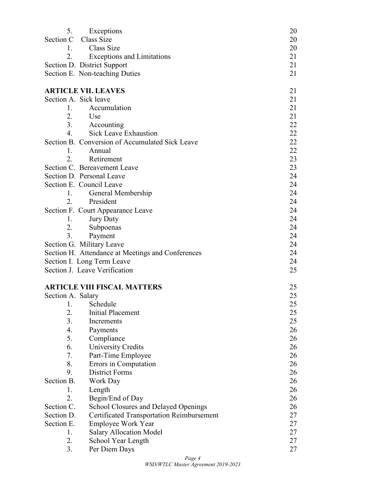| 5.                | Exceptions                                                                               | 20       |
|-------------------|------------------------------------------------------------------------------------------|----------|
| Section C         | Class Size                                                                               | 20       |
| 1.                | Class Size                                                                               | 20       |
| 2.                | <b>Exceptions and Limitations</b>                                                        | 21       |
|                   | Section D. District Support                                                              | 21       |
|                   | Section E. Non-teaching Duties                                                           | 21       |
|                   | <b>ARTICLE VII. LEAVES</b>                                                               |          |
|                   | Section A. Sick leave                                                                    | 21<br>21 |
| 1.                | Accumulation                                                                             | 21       |
|                   | 2. Use                                                                                   | 21       |
|                   | 3. Accounting                                                                            | 22       |
| $\overline{4}$ .  | <b>Sick Leave Exhaustion</b>                                                             | 22       |
|                   | Section B. Conversion of Accumulated Sick Leave                                          | 22       |
| 1.                | Annual                                                                                   | 22       |
| 2.                | Retirement                                                                               | 23       |
|                   | Section C. Bereavement Leave                                                             | 23       |
|                   | Section D. Personal Leave                                                                | 24       |
|                   | Section E. Council Leave                                                                 | 24       |
| 1.                | General Membership                                                                       | 24       |
|                   | 2. President                                                                             | 24       |
|                   | Section F. Court Appearance Leave                                                        | 24       |
| 1.                | <b>Jury Duty</b>                                                                         | 24       |
| 2.                | Subpoenas                                                                                | 24       |
| 3.                | Payment                                                                                  | 24       |
|                   | Section G. Military Leave                                                                | 24       |
|                   | Section H. Attendance at Meetings and Conferences                                        | 24       |
|                   | Section I. Long Term Leave                                                               | 24       |
|                   | Section J. Leave Verification                                                            | 25       |
|                   |                                                                                          |          |
|                   | <b>ARTICLE VIII FISCAL MATTERS</b>                                                       | 25       |
| Section A. Salary |                                                                                          | 25       |
| -1.               | Schedule                                                                                 | 25       |
| 2.                | <b>Initial Placement</b>                                                                 | 25       |
| 3.                | Increments                                                                               | 25       |
| 4.                | Payments                                                                                 | 26       |
| 5.                | Compliance                                                                               | 26       |
| 6.                | University Credits                                                                       | 26       |
| 7.                | Part-Time Employee                                                                       | 26       |
| 8.                | Errors in Computation                                                                    | 26       |
| 9.                | <b>District Forms</b>                                                                    | 26       |
| Section B.        | Work Day                                                                                 | 26       |
| 1.<br>2.          | Length                                                                                   | 26       |
| Section C.        | Begin/End of Day                                                                         | 26<br>26 |
| Section D.        | School Closures and Delayed Openings<br><b>Certificated Transportation Reimbursement</b> | 27       |
| Section E.        | <b>Employee Work Year</b>                                                                | 27       |
| 1.                | <b>Salary Allocation Model</b>                                                           | 27       |
| 2.                | School Year Length                                                                       | 27       |
| 3.                | Per Diem Days                                                                            | 27       |
|                   |                                                                                          |          |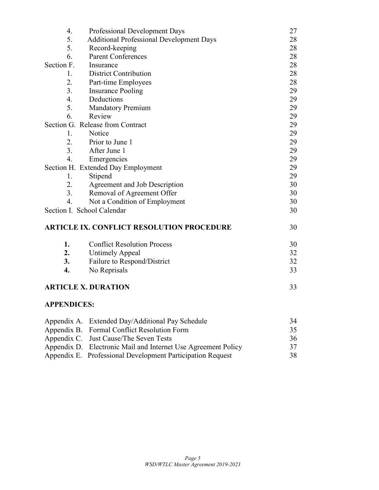| 4.                                                    | Professional Development Days                                                                                                                                                                                                                                                                                                      | 27            |  |
|-------------------------------------------------------|------------------------------------------------------------------------------------------------------------------------------------------------------------------------------------------------------------------------------------------------------------------------------------------------------------------------------------|---------------|--|
| 5.<br><b>Additional Professional Development Days</b> |                                                                                                                                                                                                                                                                                                                                    |               |  |
| 5.                                                    | Record-keeping                                                                                                                                                                                                                                                                                                                     | 28            |  |
| 6.                                                    | <b>Parent Conferences</b>                                                                                                                                                                                                                                                                                                          | 28            |  |
| Section F.                                            | Insurance                                                                                                                                                                                                                                                                                                                          | 28            |  |
| 1.                                                    | <b>District Contribution</b>                                                                                                                                                                                                                                                                                                       | 28            |  |
| 2.                                                    | Part-time Employees                                                                                                                                                                                                                                                                                                                | 28            |  |
| 3.                                                    | <b>Insurance Pooling</b>                                                                                                                                                                                                                                                                                                           | 29            |  |
| $\overline{4}$ .                                      | Deductions                                                                                                                                                                                                                                                                                                                         | 29            |  |
| 5.                                                    | <b>Mandatory Premium</b>                                                                                                                                                                                                                                                                                                           | 29            |  |
| 6.                                                    | Review                                                                                                                                                                                                                                                                                                                             | 29            |  |
|                                                       | Section G. Release from Contract                                                                                                                                                                                                                                                                                                   | 29            |  |
| 1.                                                    | Notice                                                                                                                                                                                                                                                                                                                             | 29            |  |
| 2.                                                    | Prior to June 1                                                                                                                                                                                                                                                                                                                    | 29            |  |
| 3.                                                    | After June 1                                                                                                                                                                                                                                                                                                                       | 29            |  |
| $\overline{4}$ .                                      | Emergencies                                                                                                                                                                                                                                                                                                                        | 29            |  |
|                                                       | Section H. Extended Day Employment                                                                                                                                                                                                                                                                                                 | 29            |  |
| 1.                                                    | Stipend                                                                                                                                                                                                                                                                                                                            | 29            |  |
| 2.                                                    | Agreement and Job Description                                                                                                                                                                                                                                                                                                      | 30            |  |
| 3.                                                    | Removal of Agreement Offer                                                                                                                                                                                                                                                                                                         | 30            |  |
| 4.                                                    | Not a Condition of Employment                                                                                                                                                                                                                                                                                                      | 30            |  |
|                                                       | Section I. School Calendar                                                                                                                                                                                                                                                                                                         | 30            |  |
|                                                       | <b>ARTICLE IX. CONFLICT RESOLUTION PROCEDURE</b>                                                                                                                                                                                                                                                                                   | 30            |  |
| 1.                                                    | <b>Conflict Resolution Process</b>                                                                                                                                                                                                                                                                                                 | 30            |  |
| 2.                                                    | <b>Untimely Appeal</b>                                                                                                                                                                                                                                                                                                             | 32            |  |
| 3.                                                    | Failure to Respond/District                                                                                                                                                                                                                                                                                                        | 32            |  |
| 4.                                                    | No Reprisals                                                                                                                                                                                                                                                                                                                       | 33            |  |
|                                                       | <b>ARTICLE X. DURATION</b>                                                                                                                                                                                                                                                                                                         | 33            |  |
| <b>APPENDICES:</b>                                    |                                                                                                                                                                                                                                                                                                                                    |               |  |
|                                                       | Appendix A. Extended Day/Additional Pay Schedule                                                                                                                                                                                                                                                                                   | 34            |  |
| $\mathbf{r}$ $\mathbf{r}$                             | $1 \cap \mathbb{C}$ $\mathbb{C}$ $\mathbb{C}$ $\mathbb{C}$ $\mathbb{C}$ $\mathbb{C}$ $\mathbb{C}$ $\mathbb{C}$ $\mathbb{C}$ $\mathbb{C}$ $\mathbb{C}$ $\mathbb{C}$ $\mathbb{C}$ $\mathbb{C}$ $\mathbb{C}$ $\mathbb{C}$ $\mathbb{C}$ $\mathbb{C}$ $\mathbb{C}$ $\mathbb{C}$ $\mathbb{C}$ $\mathbb{C}$ $\mathbb{C}$ $\mathbb{C}$ $\$ | $\sim$ $\sim$ |  |

| $\Delta$ ppendix $\Delta$ . Extended Day/Additional Fay Schedule | . $, +$ |
|------------------------------------------------------------------|---------|
| Appendix B. Formal Conflict Resolution Form                      | 35      |
| Appendix C. Just Cause/The Seven Tests                           | 36      |
| Appendix D. Electronic Mail and Internet Use Agreement Policy    | 37      |
| Appendix E. Professional Development Participation Request       | 38      |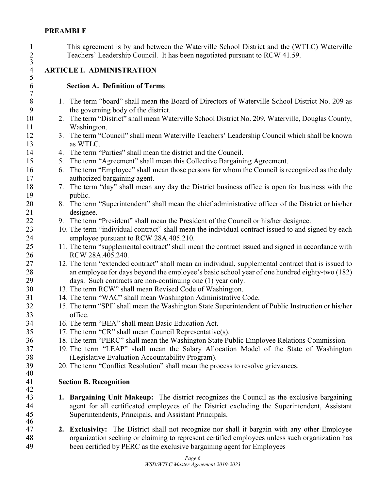### **PREAMBLE**

 This agreement is by and between the Waterville School District and the (WTLC) Waterville Teachers' Leadership Council. It has been negotiated pursuant to RCW 41.59.

# $\frac{2}{3}$  $\begin{array}{c} 4 \\ 5 \\ 6 \end{array}$  $\begin{array}{c} 7 \\ 8 \end{array}$

**ARTICLE I. ADMINISTRATION**

### **Section A. Definition of Terms**

- 1. The term "board" shall mean the Board of Directors of Waterville School District No. 209 as the governing body of the district.
- 2. The term "District" shall mean Waterville School District No. 209, Waterville, Douglas County, Washington.
- 3. The term "Council" shall mean Waterville Teachers' Leadership Council which shall be known as WTLC.
- 4. The term "Parties" shall mean the district and the Council.
- 5. The term "Agreement" shall mean this Collective Bargaining Agreement.
- 6. The term "Employee" shall mean those persons for whom the Council is recognized as the duly authorized bargaining agent.
- 7. The term "day" shall mean any day the District business office is open for business with the public.
- 8. The term "Superintendent" shall mean the chief administrative officer of the District or his/her designee.
- 9. The term "President" shall mean the President of the Council or his/her designee.
- 10. The term "individual contract" shall mean the individual contract issued to and signed by each employee pursuant to RCW 28A.405.210.
- 11. The term "supplemental contract" shall mean the contract issued and signed in accordance with RCW 28A.405.240.
- 12. The term "extended contract" shall mean an individual, supplemental contract that is issued to an employee for days beyond the employee's basic school year of one hundred eighty-two (182) days. Such contracts are non-continuing one (1) year only.
- 13. The term RCW" shall mean Revised Code of Washington.
- 14. The term "WAC" shall mean Washington Administrative Code.
- 15. The term "SPI" shall mean the Washington State Superintendent of Public Instruction or his/her office.
- 16. The term "BEA" shall mean Basic Education Act.
- 17. The term "CR" shall mean Council Representative(s).
- 18. The term "PERC" shall mean the Washington State Public Employee Relations Commission.
- 19. The term "LEAP" shall mean the Salary Allocation Model of the State of Washington (Legislative Evaluation Accountability Program).
- 20. The term "Conflict Resolution" shall mean the process to resolve grievances.

### **Section B. Recognition**

- **1. Bargaining Unit Makeup:** The district recognizes the Council as the exclusive bargaining agent for all certificated employees of the District excluding the Superintendent, Assistant Superintendents, Principals, and Assistant Principals.
- **2. Exclusivity:** The District shall not recognize nor shall it bargain with any other Employee organization seeking or claiming to represent certified employees unless such organization has been certified by PERC as the exclusive bargaining agent for Employees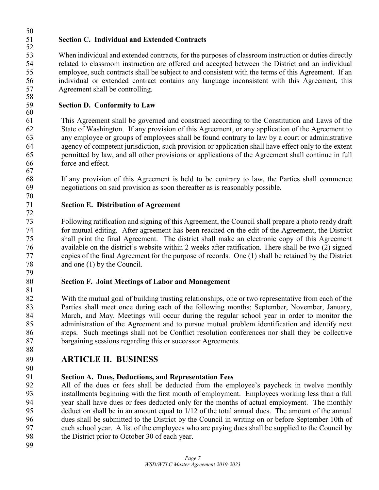### **Section C. Individual and Extended Contracts**

 When individual and extended contracts, for the purposes of classroom instruction or duties directly related to classroom instruction are offered and accepted between the District and an individual employee, such contracts shall be subject to and consistent with the terms of this Agreement. If an individual or extended contract contains any language inconsistent with this Agreement, this Agreement shall be controlling.

### **Section D. Conformity to Law**

 This Agreement shall be governed and construed according to the Constitution and Laws of the State of Washington. If any provision of this Agreement, or any application of the Agreement to any employee or groups of employees shall be found contrary to law by a court or administrative agency of competent jurisdiction, such provision or application shall have effect only to the extent permitted by law, and all other provisions or applications of the Agreement shall continue in full force and effect.

 If any provision of this Agreement is held to be contrary to law, the Parties shall commence negotiations on said provision as soon thereafter as is reasonably possible.

### **Section E. Distribution of Agreement**

 Following ratification and signing of this Agreement, the Council shall prepare a photo ready draft for mutual editing. After agreement has been reached on the edit of the Agreement, the District shall print the final Agreement. The district shall make an electronic copy of this Agreement available on the district's website within 2 weeks after ratification. There shall be two (2) signed copies of the final Agreement for the purpose of records. One (1) shall be retained by the District and one (1) by the Council.

### **Section F. Joint Meetings of Labor and Management**

 With the mutual goal of building trusting relationships, one or two representative from each of the Parties shall meet once during each of the following months: September, November, January, March, and May. Meetings will occur during the regular school year in order to monitor the administration of the Agreement and to pursue mutual problem identification and identify next steps. Such meetings shall not be Conflict resolution conferences nor shall they be collective bargaining sessions regarding this or successor Agreements.

52<br>53

### **ARTICLE II. BUSINESS**

### **Section A. Dues, Deductions, and Representation Fees**

 All of the dues or fees shall be deducted from the employee's paycheck in twelve monthly installments beginning with the first month of employment. Employees working less than a full year shall have dues or fees deducted only for the months of actual employment. The monthly deduction shall be in an amount equal to 1/12 of the total annual dues. The amount of the annual dues shall be submitted to the District by the Council in writing on or before September 10th of each school year. A list of the employees who are paying dues shall be supplied to the Council by the District prior to October 30 of each year.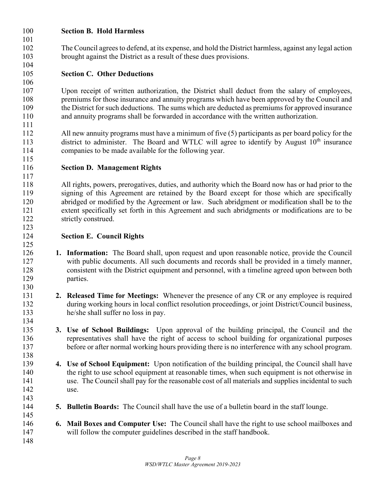### **Section B. Hold Harmless**

 The Council agrees to defend, at its expense, and hold the District harmless, against any legal action brought against the District as a result of these dues provisions.

### **Section C. Other Deductions**

 Upon receipt of written authorization, the District shall deduct from the salary of employees, premiums for those insurance and annuity programs which have been approved by the Council and the District for such deductions. The sums which are deducted as premiums for approved insurance and annuity programs shall be forwarded in accordance with the written authorization.

 All new annuity programs must have a minimum of five (5) participants as per board policy for the 113 district to administer. The Board and WTLC will agree to identify by August  $10<sup>th</sup>$  insurance companies to be made available for the following year.

**Section D. Management Rights**

 All rights, powers, prerogatives, duties, and authority which the Board now has or had prior to the signing of this Agreement are retained by the Board except for those which are specifically abridged or modified by the Agreement or law. Such abridgment or modification shall be to the extent specifically set forth in this Agreement and such abridgments or modifications are to be 122 strictly construed.

### **Section E. Council Rights**

- **1. Information:** The Board shall, upon request and upon reasonable notice, provide the Council with public documents. All such documents and records shall be provided in a timely manner, consistent with the District equipment and personnel, with a timeline agreed upon between both parties.
- **2. Released Time for Meetings:** Whenever the presence of any CR or any employee is required during working hours in local conflict resolution proceedings, or joint District/Council business, he/she shall suffer no loss in pay.
- **3. Use of School Buildings:** Upon approval of the building principal, the Council and the representatives shall have the right of access to school building for organizational purposes before or after normal working hours providing there is no interference with any school program.
- **4. Use of School Equipment:** Upon notification of the building principal, the Council shall have the right to use school equipment at reasonable times, when such equipment is not otherwise in use. The Council shall pay for the reasonable cost of all materials and supplies incidental to such use.
- **5. Bulletin Boards:** The Council shall have the use of a bulletin board in the staff lounge.
- **6. Mail Boxes and Computer Use:** The Council shall have the right to use school mailboxes and will follow the computer guidelines described in the staff handbook.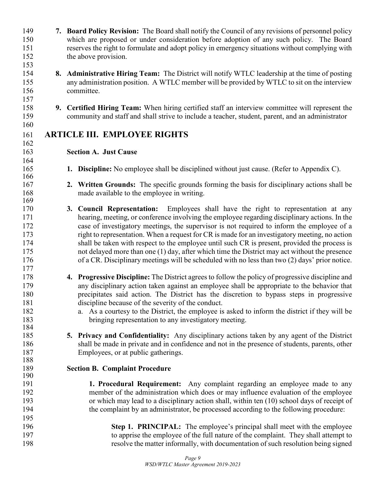| 149<br>150 | 7. Board Policy Revision: The Board shall notify the Council of any revisions of personnel policy<br>which are proposed or under consideration before adoption of any such policy. The Board        |
|------------|-----------------------------------------------------------------------------------------------------------------------------------------------------------------------------------------------------|
| 151        | reserves the right to formulate and adopt policy in emergency situations without complying with                                                                                                     |
| 152        | the above provision.                                                                                                                                                                                |
| 153        |                                                                                                                                                                                                     |
| 154        | 8. Administrative Hiring Team: The District will notify WTLC leadership at the time of posting                                                                                                      |
| 155        | any administration position. A WTLC member will be provided by WTLC to sit on the interview                                                                                                         |
| 156        | committee.                                                                                                                                                                                          |
| 157        |                                                                                                                                                                                                     |
| 158<br>159 | 9. Certified Hiring Team: When hiring certified staff an interview committee will represent the<br>community and staff and shall strive to include a teacher, student, parent, and an administrator |
| 160        |                                                                                                                                                                                                     |
| 161<br>162 | <b>ARTICLE III. EMPLOYEE RIGHTS</b>                                                                                                                                                                 |
| 163<br>164 | <b>Section A. Just Cause</b>                                                                                                                                                                        |
| 165<br>166 | 1. Discipline: No employee shall be disciplined without just cause. (Refer to Appendix C).                                                                                                          |
| 167        | 2. Written Grounds: The specific grounds forming the basis for disciplinary actions shall be                                                                                                        |
| 168        | made available to the employee in writing.                                                                                                                                                          |
| 169        |                                                                                                                                                                                                     |
| 170        | 3. Council Representation: Employees shall have the right to representation at any                                                                                                                  |
| 171        | hearing, meeting, or conference involving the employee regarding disciplinary actions. In the                                                                                                       |
| 172        | case of investigatory meetings, the supervisor is not required to inform the employee of a                                                                                                          |
| 173        | right to representation. When a request for CR is made for an investigatory meeting, no action                                                                                                      |
| 174        | shall be taken with respect to the employee until such CR is present, provided the process is                                                                                                       |
| 175        | not delayed more than one (1) day, after which time the District may act without the presence                                                                                                       |
| 176        | of a CR. Disciplinary meetings will be scheduled with no less than two (2) days' prior notice.                                                                                                      |
| 177        |                                                                                                                                                                                                     |
| 178        | 4. Progressive Discipline: The District agrees to follow the policy of progressive discipline and                                                                                                   |
| 179        | any disciplinary action taken against an employee shall be appropriate to the behavior that                                                                                                         |
| 180        |                                                                                                                                                                                                     |
|            | precipitates said action. The District has the discretion to bypass steps in progressive                                                                                                            |
| 181        | discipline because of the severity of the conduct.                                                                                                                                                  |
| 182        | a. As a courtesy to the District, the employee is asked to inform the district if they will be                                                                                                      |
| 183        | bringing representation to any investigatory meeting.                                                                                                                                               |
| 184        |                                                                                                                                                                                                     |
| 185        | 5. Privacy and Confidentiality: Any disciplinary actions taken by any agent of the District                                                                                                         |
| 186        | shall be made in private and in confidence and not in the presence of students, parents, other                                                                                                      |
| 187        | Employees, or at public gatherings.                                                                                                                                                                 |
| 188        |                                                                                                                                                                                                     |
| 189<br>190 | <b>Section B. Complaint Procedure</b>                                                                                                                                                               |
| 191        | 1. Procedural Requirement: Any complaint regarding an employee made to any                                                                                                                          |
|            |                                                                                                                                                                                                     |
| 192        | member of the administration which does or may influence evaluation of the employee                                                                                                                 |
| 193        | or which may lead to a disciplinary action shall, within ten (10) school days of receipt of                                                                                                         |
| 194        | the complaint by an administrator, be processed according to the following procedure:                                                                                                               |
| 195        |                                                                                                                                                                                                     |
| 196        | Step 1. PRINCIPAL: The employee's principal shall meet with the employee                                                                                                                            |
| 197        | to apprise the employee of the full nature of the complaint. They shall attempt to                                                                                                                  |
| 198        | resolve the matter informally, with documentation of such resolution being signed                                                                                                                   |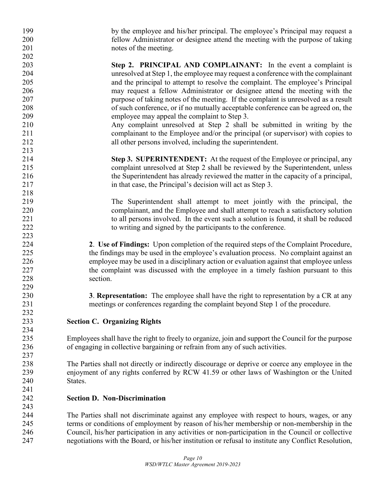| 200<br>fellow Administrator or designee attend the meeting with the purpose of taking<br>201<br>notes of the meeting.<br>202<br>203<br>Step 2. PRINCIPAL AND COMPLAINANT: In the event a complaint is<br>204<br>unresolved at Step 1, the employee may request a conference with the complainant<br>205<br>and the principal to attempt to resolve the complaint. The employee's Principal<br>may request a fellow Administrator or designee attend the meeting with the<br>206<br>207<br>purpose of taking notes of the meeting. If the complaint is unresolved as a result<br>208<br>of such conference, or if no mutually acceptable conference can be agreed on, the<br>209<br>employee may appeal the complaint to Step 3.<br>210<br>Any complaint unresolved at Step 2 shall be submitted in writing by the<br>211<br>complainant to the Employee and/or the principal (or supervisor) with copies to<br>212<br>all other persons involved, including the superintendent.<br>213<br>214<br>Step 3. SUPERINTENDENT: At the request of the Employee or principal, any<br>215<br>complaint unresolved at Step 2 shall be reviewed by the Superintendent, unless<br>the Superintendent has already reviewed the matter in the capacity of a principal,<br>216<br>217<br>in that case, the Principal's decision will act as Step 3.<br>218<br>219<br>The Superintendent shall attempt to meet jointly with the principal, the<br>220<br>complainant, and the Employee and shall attempt to reach a satisfactory solution<br>221<br>to all persons involved. In the event such a solution is found, it shall be reduced<br>222<br>to writing and signed by the participants to the conference.<br>223<br>224<br>2. Use of Findings: Upon completion of the required steps of the Complaint Procedure,<br>225<br>the findings may be used in the employee's evaluation process. No complaint against an<br>employee may be used in a disciplinary action or evaluation against that employee unless<br>226<br>227<br>the complaint was discussed with the employee in a timely fashion pursuant to this<br>228<br>section.<br>229<br>230<br>3. Representation: The employee shall have the right to representation by a CR at any<br>231<br>meetings or conferences regarding the complaint beyond Step 1 of the procedure.<br>232<br>233<br><b>Section C. Organizing Rights</b><br>234<br>235<br>Employees shall have the right to freely to organize, join and support the Council for the purpose<br>236<br>of engaging in collective bargaining or refrain from any of such activities.<br>237<br>238<br>The Parties shall not directly or indirectly discourage or deprive or coerce any employee in the<br>239<br>enjoyment of any rights conferred by RCW 41.59 or other laws of Washington or the United<br>240<br>States.<br>241<br>242<br><b>Section D. Non-Discrimination</b><br>243<br>244<br>The Parties shall not discriminate against any employee with respect to hours, wages, or any<br>245<br>terms or conditions of employment by reason of his/her membership or non-membership in the<br>Council, his/her participation in any activities or non-participation in the Council or collective<br>246<br>247<br>negotiations with the Board, or his/her institution or refusal to institute any Conflict Resolution, | 199 | by the employee and his/her principal. The employee's Principal may request a |
|----------------------------------------------------------------------------------------------------------------------------------------------------------------------------------------------------------------------------------------------------------------------------------------------------------------------------------------------------------------------------------------------------------------------------------------------------------------------------------------------------------------------------------------------------------------------------------------------------------------------------------------------------------------------------------------------------------------------------------------------------------------------------------------------------------------------------------------------------------------------------------------------------------------------------------------------------------------------------------------------------------------------------------------------------------------------------------------------------------------------------------------------------------------------------------------------------------------------------------------------------------------------------------------------------------------------------------------------------------------------------------------------------------------------------------------------------------------------------------------------------------------------------------------------------------------------------------------------------------------------------------------------------------------------------------------------------------------------------------------------------------------------------------------------------------------------------------------------------------------------------------------------------------------------------------------------------------------------------------------------------------------------------------------------------------------------------------------------------------------------------------------------------------------------------------------------------------------------------------------------------------------------------------------------------------------------------------------------------------------------------------------------------------------------------------------------------------------------------------------------------------------------------------------------------------------------------------------------------------------------------------------------------------------------------------------------------------------------------------------------------------------------------------------------------------------------------------------------------------------------------------------------------------------------------------------------------------------------------------------------------------------------------------------------------------------------------------------------------------------------------------------------------------------------------------------------------------------------------------------------------------------------------------------------------------------------------------------|-----|-------------------------------------------------------------------------------|
|                                                                                                                                                                                                                                                                                                                                                                                                                                                                                                                                                                                                                                                                                                                                                                                                                                                                                                                                                                                                                                                                                                                                                                                                                                                                                                                                                                                                                                                                                                                                                                                                                                                                                                                                                                                                                                                                                                                                                                                                                                                                                                                                                                                                                                                                                                                                                                                                                                                                                                                                                                                                                                                                                                                                                                                                                                                                                                                                                                                                                                                                                                                                                                                                                                                                                                                                        |     |                                                                               |
|                                                                                                                                                                                                                                                                                                                                                                                                                                                                                                                                                                                                                                                                                                                                                                                                                                                                                                                                                                                                                                                                                                                                                                                                                                                                                                                                                                                                                                                                                                                                                                                                                                                                                                                                                                                                                                                                                                                                                                                                                                                                                                                                                                                                                                                                                                                                                                                                                                                                                                                                                                                                                                                                                                                                                                                                                                                                                                                                                                                                                                                                                                                                                                                                                                                                                                                                        |     |                                                                               |
|                                                                                                                                                                                                                                                                                                                                                                                                                                                                                                                                                                                                                                                                                                                                                                                                                                                                                                                                                                                                                                                                                                                                                                                                                                                                                                                                                                                                                                                                                                                                                                                                                                                                                                                                                                                                                                                                                                                                                                                                                                                                                                                                                                                                                                                                                                                                                                                                                                                                                                                                                                                                                                                                                                                                                                                                                                                                                                                                                                                                                                                                                                                                                                                                                                                                                                                                        |     |                                                                               |
|                                                                                                                                                                                                                                                                                                                                                                                                                                                                                                                                                                                                                                                                                                                                                                                                                                                                                                                                                                                                                                                                                                                                                                                                                                                                                                                                                                                                                                                                                                                                                                                                                                                                                                                                                                                                                                                                                                                                                                                                                                                                                                                                                                                                                                                                                                                                                                                                                                                                                                                                                                                                                                                                                                                                                                                                                                                                                                                                                                                                                                                                                                                                                                                                                                                                                                                                        |     |                                                                               |
|                                                                                                                                                                                                                                                                                                                                                                                                                                                                                                                                                                                                                                                                                                                                                                                                                                                                                                                                                                                                                                                                                                                                                                                                                                                                                                                                                                                                                                                                                                                                                                                                                                                                                                                                                                                                                                                                                                                                                                                                                                                                                                                                                                                                                                                                                                                                                                                                                                                                                                                                                                                                                                                                                                                                                                                                                                                                                                                                                                                                                                                                                                                                                                                                                                                                                                                                        |     |                                                                               |
|                                                                                                                                                                                                                                                                                                                                                                                                                                                                                                                                                                                                                                                                                                                                                                                                                                                                                                                                                                                                                                                                                                                                                                                                                                                                                                                                                                                                                                                                                                                                                                                                                                                                                                                                                                                                                                                                                                                                                                                                                                                                                                                                                                                                                                                                                                                                                                                                                                                                                                                                                                                                                                                                                                                                                                                                                                                                                                                                                                                                                                                                                                                                                                                                                                                                                                                                        |     |                                                                               |
|                                                                                                                                                                                                                                                                                                                                                                                                                                                                                                                                                                                                                                                                                                                                                                                                                                                                                                                                                                                                                                                                                                                                                                                                                                                                                                                                                                                                                                                                                                                                                                                                                                                                                                                                                                                                                                                                                                                                                                                                                                                                                                                                                                                                                                                                                                                                                                                                                                                                                                                                                                                                                                                                                                                                                                                                                                                                                                                                                                                                                                                                                                                                                                                                                                                                                                                                        |     |                                                                               |
|                                                                                                                                                                                                                                                                                                                                                                                                                                                                                                                                                                                                                                                                                                                                                                                                                                                                                                                                                                                                                                                                                                                                                                                                                                                                                                                                                                                                                                                                                                                                                                                                                                                                                                                                                                                                                                                                                                                                                                                                                                                                                                                                                                                                                                                                                                                                                                                                                                                                                                                                                                                                                                                                                                                                                                                                                                                                                                                                                                                                                                                                                                                                                                                                                                                                                                                                        |     |                                                                               |
|                                                                                                                                                                                                                                                                                                                                                                                                                                                                                                                                                                                                                                                                                                                                                                                                                                                                                                                                                                                                                                                                                                                                                                                                                                                                                                                                                                                                                                                                                                                                                                                                                                                                                                                                                                                                                                                                                                                                                                                                                                                                                                                                                                                                                                                                                                                                                                                                                                                                                                                                                                                                                                                                                                                                                                                                                                                                                                                                                                                                                                                                                                                                                                                                                                                                                                                                        |     |                                                                               |
|                                                                                                                                                                                                                                                                                                                                                                                                                                                                                                                                                                                                                                                                                                                                                                                                                                                                                                                                                                                                                                                                                                                                                                                                                                                                                                                                                                                                                                                                                                                                                                                                                                                                                                                                                                                                                                                                                                                                                                                                                                                                                                                                                                                                                                                                                                                                                                                                                                                                                                                                                                                                                                                                                                                                                                                                                                                                                                                                                                                                                                                                                                                                                                                                                                                                                                                                        |     |                                                                               |
|                                                                                                                                                                                                                                                                                                                                                                                                                                                                                                                                                                                                                                                                                                                                                                                                                                                                                                                                                                                                                                                                                                                                                                                                                                                                                                                                                                                                                                                                                                                                                                                                                                                                                                                                                                                                                                                                                                                                                                                                                                                                                                                                                                                                                                                                                                                                                                                                                                                                                                                                                                                                                                                                                                                                                                                                                                                                                                                                                                                                                                                                                                                                                                                                                                                                                                                                        |     |                                                                               |
|                                                                                                                                                                                                                                                                                                                                                                                                                                                                                                                                                                                                                                                                                                                                                                                                                                                                                                                                                                                                                                                                                                                                                                                                                                                                                                                                                                                                                                                                                                                                                                                                                                                                                                                                                                                                                                                                                                                                                                                                                                                                                                                                                                                                                                                                                                                                                                                                                                                                                                                                                                                                                                                                                                                                                                                                                                                                                                                                                                                                                                                                                                                                                                                                                                                                                                                                        |     |                                                                               |
|                                                                                                                                                                                                                                                                                                                                                                                                                                                                                                                                                                                                                                                                                                                                                                                                                                                                                                                                                                                                                                                                                                                                                                                                                                                                                                                                                                                                                                                                                                                                                                                                                                                                                                                                                                                                                                                                                                                                                                                                                                                                                                                                                                                                                                                                                                                                                                                                                                                                                                                                                                                                                                                                                                                                                                                                                                                                                                                                                                                                                                                                                                                                                                                                                                                                                                                                        |     |                                                                               |
|                                                                                                                                                                                                                                                                                                                                                                                                                                                                                                                                                                                                                                                                                                                                                                                                                                                                                                                                                                                                                                                                                                                                                                                                                                                                                                                                                                                                                                                                                                                                                                                                                                                                                                                                                                                                                                                                                                                                                                                                                                                                                                                                                                                                                                                                                                                                                                                                                                                                                                                                                                                                                                                                                                                                                                                                                                                                                                                                                                                                                                                                                                                                                                                                                                                                                                                                        |     |                                                                               |
|                                                                                                                                                                                                                                                                                                                                                                                                                                                                                                                                                                                                                                                                                                                                                                                                                                                                                                                                                                                                                                                                                                                                                                                                                                                                                                                                                                                                                                                                                                                                                                                                                                                                                                                                                                                                                                                                                                                                                                                                                                                                                                                                                                                                                                                                                                                                                                                                                                                                                                                                                                                                                                                                                                                                                                                                                                                                                                                                                                                                                                                                                                                                                                                                                                                                                                                                        |     |                                                                               |
|                                                                                                                                                                                                                                                                                                                                                                                                                                                                                                                                                                                                                                                                                                                                                                                                                                                                                                                                                                                                                                                                                                                                                                                                                                                                                                                                                                                                                                                                                                                                                                                                                                                                                                                                                                                                                                                                                                                                                                                                                                                                                                                                                                                                                                                                                                                                                                                                                                                                                                                                                                                                                                                                                                                                                                                                                                                                                                                                                                                                                                                                                                                                                                                                                                                                                                                                        |     |                                                                               |
|                                                                                                                                                                                                                                                                                                                                                                                                                                                                                                                                                                                                                                                                                                                                                                                                                                                                                                                                                                                                                                                                                                                                                                                                                                                                                                                                                                                                                                                                                                                                                                                                                                                                                                                                                                                                                                                                                                                                                                                                                                                                                                                                                                                                                                                                                                                                                                                                                                                                                                                                                                                                                                                                                                                                                                                                                                                                                                                                                                                                                                                                                                                                                                                                                                                                                                                                        |     |                                                                               |
|                                                                                                                                                                                                                                                                                                                                                                                                                                                                                                                                                                                                                                                                                                                                                                                                                                                                                                                                                                                                                                                                                                                                                                                                                                                                                                                                                                                                                                                                                                                                                                                                                                                                                                                                                                                                                                                                                                                                                                                                                                                                                                                                                                                                                                                                                                                                                                                                                                                                                                                                                                                                                                                                                                                                                                                                                                                                                                                                                                                                                                                                                                                                                                                                                                                                                                                                        |     |                                                                               |
|                                                                                                                                                                                                                                                                                                                                                                                                                                                                                                                                                                                                                                                                                                                                                                                                                                                                                                                                                                                                                                                                                                                                                                                                                                                                                                                                                                                                                                                                                                                                                                                                                                                                                                                                                                                                                                                                                                                                                                                                                                                                                                                                                                                                                                                                                                                                                                                                                                                                                                                                                                                                                                                                                                                                                                                                                                                                                                                                                                                                                                                                                                                                                                                                                                                                                                                                        |     |                                                                               |
|                                                                                                                                                                                                                                                                                                                                                                                                                                                                                                                                                                                                                                                                                                                                                                                                                                                                                                                                                                                                                                                                                                                                                                                                                                                                                                                                                                                                                                                                                                                                                                                                                                                                                                                                                                                                                                                                                                                                                                                                                                                                                                                                                                                                                                                                                                                                                                                                                                                                                                                                                                                                                                                                                                                                                                                                                                                                                                                                                                                                                                                                                                                                                                                                                                                                                                                                        |     |                                                                               |
|                                                                                                                                                                                                                                                                                                                                                                                                                                                                                                                                                                                                                                                                                                                                                                                                                                                                                                                                                                                                                                                                                                                                                                                                                                                                                                                                                                                                                                                                                                                                                                                                                                                                                                                                                                                                                                                                                                                                                                                                                                                                                                                                                                                                                                                                                                                                                                                                                                                                                                                                                                                                                                                                                                                                                                                                                                                                                                                                                                                                                                                                                                                                                                                                                                                                                                                                        |     |                                                                               |
|                                                                                                                                                                                                                                                                                                                                                                                                                                                                                                                                                                                                                                                                                                                                                                                                                                                                                                                                                                                                                                                                                                                                                                                                                                                                                                                                                                                                                                                                                                                                                                                                                                                                                                                                                                                                                                                                                                                                                                                                                                                                                                                                                                                                                                                                                                                                                                                                                                                                                                                                                                                                                                                                                                                                                                                                                                                                                                                                                                                                                                                                                                                                                                                                                                                                                                                                        |     |                                                                               |
|                                                                                                                                                                                                                                                                                                                                                                                                                                                                                                                                                                                                                                                                                                                                                                                                                                                                                                                                                                                                                                                                                                                                                                                                                                                                                                                                                                                                                                                                                                                                                                                                                                                                                                                                                                                                                                                                                                                                                                                                                                                                                                                                                                                                                                                                                                                                                                                                                                                                                                                                                                                                                                                                                                                                                                                                                                                                                                                                                                                                                                                                                                                                                                                                                                                                                                                                        |     |                                                                               |
|                                                                                                                                                                                                                                                                                                                                                                                                                                                                                                                                                                                                                                                                                                                                                                                                                                                                                                                                                                                                                                                                                                                                                                                                                                                                                                                                                                                                                                                                                                                                                                                                                                                                                                                                                                                                                                                                                                                                                                                                                                                                                                                                                                                                                                                                                                                                                                                                                                                                                                                                                                                                                                                                                                                                                                                                                                                                                                                                                                                                                                                                                                                                                                                                                                                                                                                                        |     |                                                                               |
|                                                                                                                                                                                                                                                                                                                                                                                                                                                                                                                                                                                                                                                                                                                                                                                                                                                                                                                                                                                                                                                                                                                                                                                                                                                                                                                                                                                                                                                                                                                                                                                                                                                                                                                                                                                                                                                                                                                                                                                                                                                                                                                                                                                                                                                                                                                                                                                                                                                                                                                                                                                                                                                                                                                                                                                                                                                                                                                                                                                                                                                                                                                                                                                                                                                                                                                                        |     |                                                                               |
|                                                                                                                                                                                                                                                                                                                                                                                                                                                                                                                                                                                                                                                                                                                                                                                                                                                                                                                                                                                                                                                                                                                                                                                                                                                                                                                                                                                                                                                                                                                                                                                                                                                                                                                                                                                                                                                                                                                                                                                                                                                                                                                                                                                                                                                                                                                                                                                                                                                                                                                                                                                                                                                                                                                                                                                                                                                                                                                                                                                                                                                                                                                                                                                                                                                                                                                                        |     |                                                                               |
|                                                                                                                                                                                                                                                                                                                                                                                                                                                                                                                                                                                                                                                                                                                                                                                                                                                                                                                                                                                                                                                                                                                                                                                                                                                                                                                                                                                                                                                                                                                                                                                                                                                                                                                                                                                                                                                                                                                                                                                                                                                                                                                                                                                                                                                                                                                                                                                                                                                                                                                                                                                                                                                                                                                                                                                                                                                                                                                                                                                                                                                                                                                                                                                                                                                                                                                                        |     |                                                                               |
|                                                                                                                                                                                                                                                                                                                                                                                                                                                                                                                                                                                                                                                                                                                                                                                                                                                                                                                                                                                                                                                                                                                                                                                                                                                                                                                                                                                                                                                                                                                                                                                                                                                                                                                                                                                                                                                                                                                                                                                                                                                                                                                                                                                                                                                                                                                                                                                                                                                                                                                                                                                                                                                                                                                                                                                                                                                                                                                                                                                                                                                                                                                                                                                                                                                                                                                                        |     |                                                                               |
|                                                                                                                                                                                                                                                                                                                                                                                                                                                                                                                                                                                                                                                                                                                                                                                                                                                                                                                                                                                                                                                                                                                                                                                                                                                                                                                                                                                                                                                                                                                                                                                                                                                                                                                                                                                                                                                                                                                                                                                                                                                                                                                                                                                                                                                                                                                                                                                                                                                                                                                                                                                                                                                                                                                                                                                                                                                                                                                                                                                                                                                                                                                                                                                                                                                                                                                                        |     |                                                                               |
|                                                                                                                                                                                                                                                                                                                                                                                                                                                                                                                                                                                                                                                                                                                                                                                                                                                                                                                                                                                                                                                                                                                                                                                                                                                                                                                                                                                                                                                                                                                                                                                                                                                                                                                                                                                                                                                                                                                                                                                                                                                                                                                                                                                                                                                                                                                                                                                                                                                                                                                                                                                                                                                                                                                                                                                                                                                                                                                                                                                                                                                                                                                                                                                                                                                                                                                                        |     |                                                                               |
|                                                                                                                                                                                                                                                                                                                                                                                                                                                                                                                                                                                                                                                                                                                                                                                                                                                                                                                                                                                                                                                                                                                                                                                                                                                                                                                                                                                                                                                                                                                                                                                                                                                                                                                                                                                                                                                                                                                                                                                                                                                                                                                                                                                                                                                                                                                                                                                                                                                                                                                                                                                                                                                                                                                                                                                                                                                                                                                                                                                                                                                                                                                                                                                                                                                                                                                                        |     |                                                                               |
|                                                                                                                                                                                                                                                                                                                                                                                                                                                                                                                                                                                                                                                                                                                                                                                                                                                                                                                                                                                                                                                                                                                                                                                                                                                                                                                                                                                                                                                                                                                                                                                                                                                                                                                                                                                                                                                                                                                                                                                                                                                                                                                                                                                                                                                                                                                                                                                                                                                                                                                                                                                                                                                                                                                                                                                                                                                                                                                                                                                                                                                                                                                                                                                                                                                                                                                                        |     |                                                                               |
|                                                                                                                                                                                                                                                                                                                                                                                                                                                                                                                                                                                                                                                                                                                                                                                                                                                                                                                                                                                                                                                                                                                                                                                                                                                                                                                                                                                                                                                                                                                                                                                                                                                                                                                                                                                                                                                                                                                                                                                                                                                                                                                                                                                                                                                                                                                                                                                                                                                                                                                                                                                                                                                                                                                                                                                                                                                                                                                                                                                                                                                                                                                                                                                                                                                                                                                                        |     |                                                                               |
|                                                                                                                                                                                                                                                                                                                                                                                                                                                                                                                                                                                                                                                                                                                                                                                                                                                                                                                                                                                                                                                                                                                                                                                                                                                                                                                                                                                                                                                                                                                                                                                                                                                                                                                                                                                                                                                                                                                                                                                                                                                                                                                                                                                                                                                                                                                                                                                                                                                                                                                                                                                                                                                                                                                                                                                                                                                                                                                                                                                                                                                                                                                                                                                                                                                                                                                                        |     |                                                                               |
|                                                                                                                                                                                                                                                                                                                                                                                                                                                                                                                                                                                                                                                                                                                                                                                                                                                                                                                                                                                                                                                                                                                                                                                                                                                                                                                                                                                                                                                                                                                                                                                                                                                                                                                                                                                                                                                                                                                                                                                                                                                                                                                                                                                                                                                                                                                                                                                                                                                                                                                                                                                                                                                                                                                                                                                                                                                                                                                                                                                                                                                                                                                                                                                                                                                                                                                                        |     |                                                                               |
|                                                                                                                                                                                                                                                                                                                                                                                                                                                                                                                                                                                                                                                                                                                                                                                                                                                                                                                                                                                                                                                                                                                                                                                                                                                                                                                                                                                                                                                                                                                                                                                                                                                                                                                                                                                                                                                                                                                                                                                                                                                                                                                                                                                                                                                                                                                                                                                                                                                                                                                                                                                                                                                                                                                                                                                                                                                                                                                                                                                                                                                                                                                                                                                                                                                                                                                                        |     |                                                                               |
|                                                                                                                                                                                                                                                                                                                                                                                                                                                                                                                                                                                                                                                                                                                                                                                                                                                                                                                                                                                                                                                                                                                                                                                                                                                                                                                                                                                                                                                                                                                                                                                                                                                                                                                                                                                                                                                                                                                                                                                                                                                                                                                                                                                                                                                                                                                                                                                                                                                                                                                                                                                                                                                                                                                                                                                                                                                                                                                                                                                                                                                                                                                                                                                                                                                                                                                                        |     |                                                                               |
|                                                                                                                                                                                                                                                                                                                                                                                                                                                                                                                                                                                                                                                                                                                                                                                                                                                                                                                                                                                                                                                                                                                                                                                                                                                                                                                                                                                                                                                                                                                                                                                                                                                                                                                                                                                                                                                                                                                                                                                                                                                                                                                                                                                                                                                                                                                                                                                                                                                                                                                                                                                                                                                                                                                                                                                                                                                                                                                                                                                                                                                                                                                                                                                                                                                                                                                                        |     |                                                                               |
|                                                                                                                                                                                                                                                                                                                                                                                                                                                                                                                                                                                                                                                                                                                                                                                                                                                                                                                                                                                                                                                                                                                                                                                                                                                                                                                                                                                                                                                                                                                                                                                                                                                                                                                                                                                                                                                                                                                                                                                                                                                                                                                                                                                                                                                                                                                                                                                                                                                                                                                                                                                                                                                                                                                                                                                                                                                                                                                                                                                                                                                                                                                                                                                                                                                                                                                                        |     |                                                                               |
|                                                                                                                                                                                                                                                                                                                                                                                                                                                                                                                                                                                                                                                                                                                                                                                                                                                                                                                                                                                                                                                                                                                                                                                                                                                                                                                                                                                                                                                                                                                                                                                                                                                                                                                                                                                                                                                                                                                                                                                                                                                                                                                                                                                                                                                                                                                                                                                                                                                                                                                                                                                                                                                                                                                                                                                                                                                                                                                                                                                                                                                                                                                                                                                                                                                                                                                                        |     |                                                                               |
|                                                                                                                                                                                                                                                                                                                                                                                                                                                                                                                                                                                                                                                                                                                                                                                                                                                                                                                                                                                                                                                                                                                                                                                                                                                                                                                                                                                                                                                                                                                                                                                                                                                                                                                                                                                                                                                                                                                                                                                                                                                                                                                                                                                                                                                                                                                                                                                                                                                                                                                                                                                                                                                                                                                                                                                                                                                                                                                                                                                                                                                                                                                                                                                                                                                                                                                                        |     |                                                                               |
|                                                                                                                                                                                                                                                                                                                                                                                                                                                                                                                                                                                                                                                                                                                                                                                                                                                                                                                                                                                                                                                                                                                                                                                                                                                                                                                                                                                                                                                                                                                                                                                                                                                                                                                                                                                                                                                                                                                                                                                                                                                                                                                                                                                                                                                                                                                                                                                                                                                                                                                                                                                                                                                                                                                                                                                                                                                                                                                                                                                                                                                                                                                                                                                                                                                                                                                                        |     |                                                                               |
|                                                                                                                                                                                                                                                                                                                                                                                                                                                                                                                                                                                                                                                                                                                                                                                                                                                                                                                                                                                                                                                                                                                                                                                                                                                                                                                                                                                                                                                                                                                                                                                                                                                                                                                                                                                                                                                                                                                                                                                                                                                                                                                                                                                                                                                                                                                                                                                                                                                                                                                                                                                                                                                                                                                                                                                                                                                                                                                                                                                                                                                                                                                                                                                                                                                                                                                                        |     |                                                                               |
|                                                                                                                                                                                                                                                                                                                                                                                                                                                                                                                                                                                                                                                                                                                                                                                                                                                                                                                                                                                                                                                                                                                                                                                                                                                                                                                                                                                                                                                                                                                                                                                                                                                                                                                                                                                                                                                                                                                                                                                                                                                                                                                                                                                                                                                                                                                                                                                                                                                                                                                                                                                                                                                                                                                                                                                                                                                                                                                                                                                                                                                                                                                                                                                                                                                                                                                                        |     |                                                                               |
|                                                                                                                                                                                                                                                                                                                                                                                                                                                                                                                                                                                                                                                                                                                                                                                                                                                                                                                                                                                                                                                                                                                                                                                                                                                                                                                                                                                                                                                                                                                                                                                                                                                                                                                                                                                                                                                                                                                                                                                                                                                                                                                                                                                                                                                                                                                                                                                                                                                                                                                                                                                                                                                                                                                                                                                                                                                                                                                                                                                                                                                                                                                                                                                                                                                                                                                                        |     |                                                                               |
|                                                                                                                                                                                                                                                                                                                                                                                                                                                                                                                                                                                                                                                                                                                                                                                                                                                                                                                                                                                                                                                                                                                                                                                                                                                                                                                                                                                                                                                                                                                                                                                                                                                                                                                                                                                                                                                                                                                                                                                                                                                                                                                                                                                                                                                                                                                                                                                                                                                                                                                                                                                                                                                                                                                                                                                                                                                                                                                                                                                                                                                                                                                                                                                                                                                                                                                                        |     |                                                                               |
|                                                                                                                                                                                                                                                                                                                                                                                                                                                                                                                                                                                                                                                                                                                                                                                                                                                                                                                                                                                                                                                                                                                                                                                                                                                                                                                                                                                                                                                                                                                                                                                                                                                                                                                                                                                                                                                                                                                                                                                                                                                                                                                                                                                                                                                                                                                                                                                                                                                                                                                                                                                                                                                                                                                                                                                                                                                                                                                                                                                                                                                                                                                                                                                                                                                                                                                                        |     |                                                                               |
|                                                                                                                                                                                                                                                                                                                                                                                                                                                                                                                                                                                                                                                                                                                                                                                                                                                                                                                                                                                                                                                                                                                                                                                                                                                                                                                                                                                                                                                                                                                                                                                                                                                                                                                                                                                                                                                                                                                                                                                                                                                                                                                                                                                                                                                                                                                                                                                                                                                                                                                                                                                                                                                                                                                                                                                                                                                                                                                                                                                                                                                                                                                                                                                                                                                                                                                                        |     |                                                                               |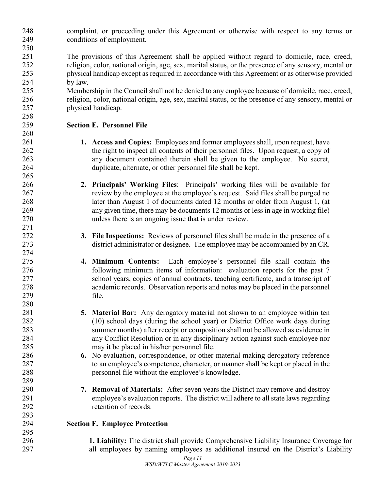complaint, or proceeding under this Agreement or otherwise with respect to any terms or conditions of employment.

 The provisions of this Agreement shall be applied without regard to domicile, race, creed, religion, color, national origin, age, sex, marital status, or the presence of any sensory, mental or physical handicap except as required in accordance with this Agreement or as otherwise provided by law.

 Membership in the Council shall not be denied to any employee because of domicile, race, creed, religion, color, national origin, age, sex, marital status, or the presence of any sensory, mental or physical handicap.

### **Section E. Personnel File**

- **1. Access and Copies:** Employees and former employees shall, upon request, have 262 the right to inspect all contents of their personnel files. Upon request, a copy of any document contained therein shall be given to the employee. No secret, duplicate, alternate, or other personnel file shall be kept.
- **2. Principals' Working Files**: Principals' working files will be available for review by the employee at the employee's request. Said files shall be purged no later than August 1 of documents dated 12 months or older from August 1, (at any given time, there may be documents 12 months or less in age in working file) unless there is an ongoing issue that is under review.
- **3. File Inspections:** Reviews of personnel files shall be made in the presence of a district administrator or designee. The employee may be accompanied by an CR.
- **4. Minimum Contents:** Each employee's personnel file shall contain the following minimum items of information: evaluation reports for the past 7 school years, copies of annual contracts, teaching certificate, and a transcript of academic records. Observation reports and notes may be placed in the personnel file.
- **5. Material Bar:** Any derogatory material not shown to an employee within ten (10) school days (during the school year) or District Office work days during summer months) after receipt or composition shall not be allowed as evidence in any Conflict Resolution or in any disciplinary action against such employee nor may it be placed in his/her personnel file.
- **6.** No evaluation, correspondence, or other material making derogatory reference to an employee's competence, character, or manner shall be kept or placed in the personnel file without the employee's knowledge.
- **7. Removal of Materials:** After seven years the District may remove and destroy employee's evaluation reports. The district will adhere to all state laws regarding retention of records.
- **Section F. Employee Protection**

 **1. Liability:** The district shall provide Comprehensive Liability Insurance Coverage for all employees by naming employees as additional insured on the District's Liability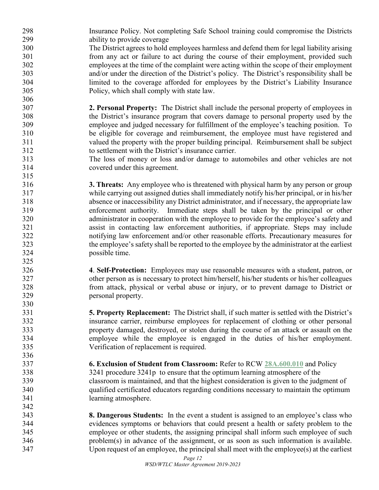Insurance Policy. Not completing Safe School training could compromise the Districts ability to provide coverage

 The District agrees to hold employees harmless and defend them for legal liability arising from any act or failure to act during the course of their employment, provided such employees at the time of the complaint were acting within the scope of their employment and/or under the direction of the District's policy. The District's responsibility shall be limited to the coverage afforded for employees by the District's Liability Insurance Policy, which shall comply with state law.

- **2. Personal Property:** The District shall include the personal property of employees in the District's insurance program that covers damage to personal property used by the employee and judged necessary for fulfillment of the employee's teaching position. To be eligible for coverage and reimbursement, the employee must have registered and valued the property with the proper building principal. Reimbursement shall be subject to settlement with the District's insurance carrier.
- The loss of money or loss and/or damage to automobiles and other vehicles are not covered under this agreement.
- **3. Threats:** Any employee who is threatened with physical harm by any person or group while carrying out assigned duties shall immediately notify his/her principal, or in his/her absence or inaccessibility any District administrator, and if necessary, the appropriate law enforcement authority. Immediate steps shall be taken by the principal or other administrator in cooperation with the employee to provide for the employee's safety and assist in contacting law enforcement authorities, if appropriate. Steps may include notifying law enforcement and/or other reasonable efforts. Precautionary measures for the employee's safety shall be reported to the employee by the administrator at the earliest possible time.
- **4**. **Self-Protection:** Employees may use reasonable measures with a student, patron, or other person as is necessary to protect him/herself, his/her students or his/her colleagues from attack, physical or verbal abuse or injury, or to prevent damage to District or personal property.
- **5. Property Replacement:** The District shall, if such matter is settled with the District's insurance carrier, reimburse employees for replacement of clothing or other personal property damaged, destroyed, or stolen during the course of an attack or assault on the employee while the employee is engaged in the duties of his/her employment. Verification of replacement is required.
- **6. Exclusion of Student from Classroom:** Refer to RCW **[28A.600.010](http://app.leg.wa.gov/RCW/default.aspx?cite=28A.600.010)** and Policy 3241 procedure 3241p to ensure that the optimum learning atmosphere of the classroom is maintained, and that the highest consideration is given to the judgment of qualified certificated educators regarding conditions necessary to maintain the optimum learning atmosphere.
- **8. Dangerous Students:** In the event a student is assigned to an employee's class who evidences symptoms or behaviors that could present a health or safety problem to the employee or other students, the assigning principal shall inform such employee of such problem(s) in advance of the assignment, or as soon as such information is available. Upon request of an employee, the principal shall meet with the employee(s) at the earliest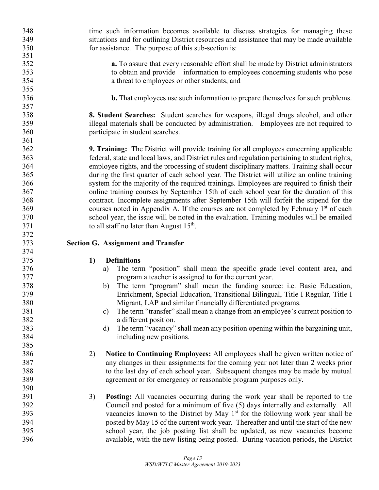time such information becomes available to discuss strategies for managing these situations and for outlining District resources and assistance that may be made available for assistance. The purpose of this sub-section is: **a.** To assure that every reasonable effort shall be made by District administrators to obtain and provide information to employees concerning students who pose a threat to employees or other students, and **b.** That employees use such information to prepare themselves for such problems. **8. Student Searches:** Student searches for weapons, illegal drugs alcohol, and other illegal materials shall be conducted by administration. Employees are not required to participate in student searches. **9. Training:** The District will provide training for all employees concerning applicable federal, state and local laws, and District rules and regulation pertaining to student rights, employee rights, and the processing of student disciplinary matters. Training shall occur during the first quarter of each school year. The District will utilize an online training system for the majority of the required trainings. Employees are required to finish their online training courses by September 15th of each school year for the duration of this contract. Incomplete assignments after September 15th will forfeit the stipend for the courses noted in Appendix A. If the courses are not completed by February 1<sup>st</sup> of each school year, the issue will be noted in the evaluation. Training modules will be emailed 371 to all staff no later than August  $15<sup>th</sup>$ . **Section G. Assignment and Transfer 1) Definitions** a) The term "position" shall mean the specific grade level content area, and program a teacher is assigned to for the current year. b) The term "program" shall mean the funding source: i.e. Basic Education, Enrichment, Special Education, Transitional Bilingual, Title I Regular, Title I Migrant, LAP and similar financially differentiated programs. c) The term "transfer" shall mean a change from an employee's current position to a different position. d) The term "vacancy" shall mean any position opening within the bargaining unit, including new positions. 2) **Notice to Continuing Employees:** All employees shall be given written notice of any changes in their assignments for the coming year not later than 2 weeks prior to the last day of each school year. Subsequent changes may be made by mutual agreement or for emergency or reasonable program purposes only. 3) **Posting:** All vacancies occurring during the work year shall be reported to the Council and posted for a minimum of five (5) days internally and externally. All 393 vacancies known to the District by May  $1<sup>st</sup>$  for the following work year shall be posted by May 15 of the current work year. Thereafter and until the start of the new school year, the job posting list shall be updated, as new vacancies become available, with the new listing being posted. During vacation periods, the District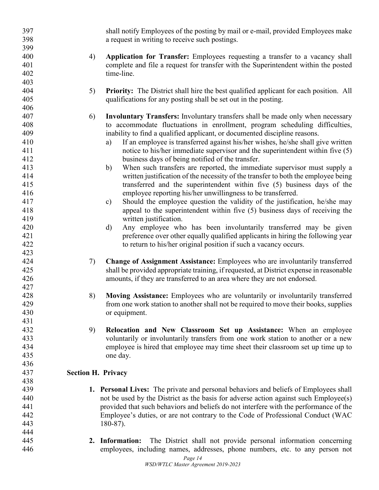*Page 14* shall notify Employees of the posting by mail or e-mail, provided Employees make a request in writing to receive such postings. 4) **Application for Transfer:** Employees requesting a transfer to a vacancy shall complete and file a request for transfer with the Superintendent within the posted time-line. 5) **Priority:** The District shall hire the best qualified applicant for each position. All qualifications for any posting shall be set out in the posting. 6) **Involuntary Transfers:** Involuntary transfers shall be made only when necessary to accommodate fluctuations in enrollment, program scheduling difficulties, inability to find a qualified applicant, or documented discipline reasons. a) If an employee is transferred against his/her wishes, he/she shall give written notice to his/her immediate supervisor and the superintendent within five (5) business days of being notified of the transfer. b) When such transfers are reported, the immediate supervisor must supply a written justification of the necessity of the transfer to both the employee being transferred and the superintendent within five (5) business days of the employee reporting his/her unwillingness to be transferred. c) Should the employee question the validity of the justification, he/she may appeal to the superintendent within five (5) business days of receiving the written justification. d) Any employee who has been involuntarily transferred may be given preference over other equally qualified applicants in hiring the following year to return to his/her original position if such a vacancy occurs. 7) **Change of Assignment Assistance:** Employees who are involuntarily transferred shall be provided appropriate training, if requested, at District expense in reasonable amounts, if they are transferred to an area where they are not endorsed. 8) **Moving Assistance:** Employees who are voluntarily or involuntarily transferred from one work station to another shall not be required to move their books, supplies or equipment. 9) **Relocation and New Classroom Set up Assistance:** When an employee voluntarily or involuntarily transfers from one work station to another or a new employee is hired that employee may time sheet their classroom set up time up to one day. **Section H. Privacy 1. Personal Lives:** The private and personal behaviors and beliefs of Employees shall not be used by the District as the basis for adverse action against such Employee(s) provided that such behaviors and beliefs do not interfere with the performance of the Employee's duties, or are not contrary to the Code of Professional Conduct (WAC 180-87). **2. Information:** The District shall not provide personal information concerning employees, including names, addresses, phone numbers, etc. to any person not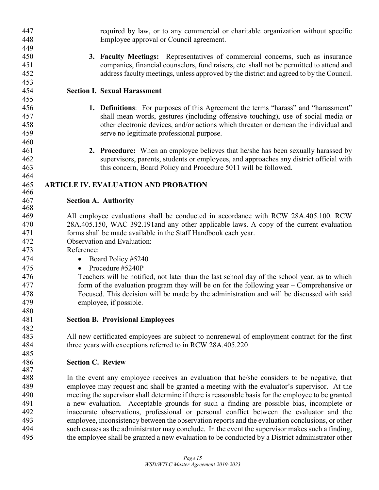| 447        | required by law, or to any commercial or charitable organization without specific                                                                                                                    |
|------------|------------------------------------------------------------------------------------------------------------------------------------------------------------------------------------------------------|
| 448        | Employee approval or Council agreement.                                                                                                                                                              |
| 449        |                                                                                                                                                                                                      |
| 450        | 3. Faculty Meetings: Representatives of commercial concerns, such as insurance                                                                                                                       |
| 451        | companies, financial counselors, fund raisers, etc. shall not be permitted to attend and                                                                                                             |
| 452        | address faculty meetings, unless approved by the district and agreed to by the Council.                                                                                                              |
| 453        |                                                                                                                                                                                                      |
| 454<br>455 | <b>Section I. Sexual Harassment</b>                                                                                                                                                                  |
| 456        |                                                                                                                                                                                                      |
| 457        | 1. Definitions: For purposes of this Agreement the terms "harass" and "harassment"<br>shall mean words, gestures (including offensive touching), use of social media or                              |
| 458        | other electronic devices, and/or actions which threaten or demean the individual and                                                                                                                 |
| 459        | serve no legitimate professional purpose.                                                                                                                                                            |
| 460        |                                                                                                                                                                                                      |
| 461        | 2. Procedure: When an employee believes that he/she has been sexually harassed by                                                                                                                    |
| 462        | supervisors, parents, students or employees, and approaches any district official with                                                                                                               |
| 463        | this concern, Board Policy and Procedure 5011 will be followed.                                                                                                                                      |
| 464        |                                                                                                                                                                                                      |
| 465        | <b>ARTICLE IV. EVALUATION AND PROBATION</b>                                                                                                                                                          |
| 466        |                                                                                                                                                                                                      |
| 467        | <b>Section A. Authority</b>                                                                                                                                                                          |
| 468        |                                                                                                                                                                                                      |
| 469        | All employee evaluations shall be conducted in accordance with RCW 28A.405.100. RCW                                                                                                                  |
| 470        | 28A.405.150, WAC 392.191 and any other applicable laws. A copy of the current evaluation                                                                                                             |
| 471        | forms shall be made available in the Staff Handbook each year.                                                                                                                                       |
| 472<br>473 | Observation and Evaluation:<br>Reference:                                                                                                                                                            |
| 474        |                                                                                                                                                                                                      |
| 475        | Board Policy #5240<br>$\bullet$<br>Procedure #5240P<br>$\bullet$                                                                                                                                     |
| 476        | Teachers will be notified, not later than the last school day of the school year, as to which                                                                                                        |
| 477        | form of the evaluation program they will be on for the following year $-$ Comprehensive or                                                                                                           |
| 478        | Focused. This decision will be made by the administration and will be discussed with said                                                                                                            |
| 479        | employee, if possible.                                                                                                                                                                               |
| 480        |                                                                                                                                                                                                      |
| 481        | <b>Section B. Provisional Employees</b>                                                                                                                                                              |
| 482        |                                                                                                                                                                                                      |
| 483        | All new certificated employees are subject to nonrenewal of employment contract for the first                                                                                                        |
| 484        | three years with exceptions referred to in RCW 28A.405.220                                                                                                                                           |
| 485        |                                                                                                                                                                                                      |
| 486        | <b>Section C. Review</b>                                                                                                                                                                             |
| 487        |                                                                                                                                                                                                      |
| 488        | In the event any employee receives an evaluation that he/she considers to be negative, that                                                                                                          |
| 489        | employee may request and shall be granted a meeting with the evaluator's supervisor. At the                                                                                                          |
| 490        | meeting the supervisor shall determine if there is reasonable basis for the employee to be granted                                                                                                   |
| 491        | a new evaluation. Acceptable grounds for such a finding are possible bias, incomplete or                                                                                                             |
| 492        | inaccurate observations, professional or personal conflict between the evaluator and the                                                                                                             |
| 493<br>494 | employee, inconsistency between the observation reports and the evaluation conclusions, or other                                                                                                     |
| 495        | such causes as the administrator may conclude. In the event the supervisor makes such a finding,<br>the employee shall be granted a new evaluation to be conducted by a District administrator other |
|            |                                                                                                                                                                                                      |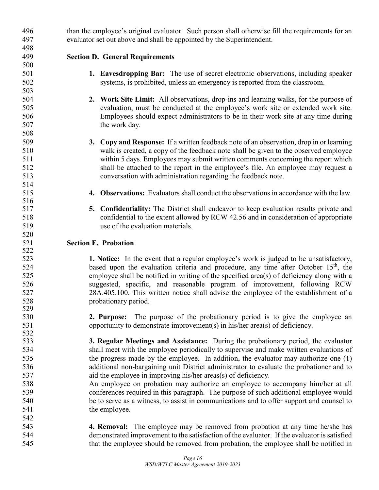than the employee's original evaluator. Such person shall otherwise fill the requirements for an evaluator set out above and shall be appointed by the Superintendent. **Section D. General Requirements 1. Eavesdropping Bar:** The use of secret electronic observations, including speaker systems, is prohibited, unless an emergency is reported from the classroom. **2. Work Site Limit:** All observations, drop-ins and learning walks, for the purpose of evaluation, must be conducted at the employee's work site or extended work site. Employees should expect administrators to be in their work site at any time during 507 the work day. **3. Copy and Response:** If a written feedback note of an observation, drop in or learning walk is created, a copy of the feedback note shall be given to the observed employee within 5 days. Employees may submit written comments concerning the report which shall be attached to the report in the employee's file. An employee may request a conversation with administration regarding the feedback note. **4. Observations:** Evaluators shall conduct the observations in accordance with the law. **5. Confidentiality:** The District shall endeavor to keep evaluation results private and confidential to the extent allowed by RCW 42.56 and in consideration of appropriate use of the evaluation materials. **Section E. Probation 1. Notice:** In the event that a regular employee's work is judged to be unsatisfactory, based upon the evaluation criteria and procedure, any time after October  $15<sup>th</sup>$ , the employee shall be notified in writing of the specified area(s) of deficiency along with a suggested, specific, and reasonable program of improvement, following RCW 28A.405.100. This written notice shall advise the employee of the establishment of a probationary period. **2. Purpose:** The purpose of the probationary period is to give the employee an opportunity to demonstrate improvement(s) in his/her area(s) of deficiency. **3. Regular Meetings and Assistance:** During the probationary period, the evaluator shall meet with the employee periodically to supervise and make written evaluations of 535 the progress made by the employee. In addition, the evaluator may authorize one (1) additional non-bargaining unit District administrator to evaluate the probationer and to aid the employee in improving his/her areas(s) of deficiency. An employee on probation may authorize an employee to accompany him/her at all conferences required in this paragraph. The purpose of such additional employee would be to serve as a witness, to assist in communications and to offer support and counsel to 541 the employee. **4. Removal:** The employee may be removed from probation at any time he/she has demonstrated improvement to the satisfaction of the evaluator. If the evaluator is satisfied that the employee should be removed from probation, the employee shall be notified in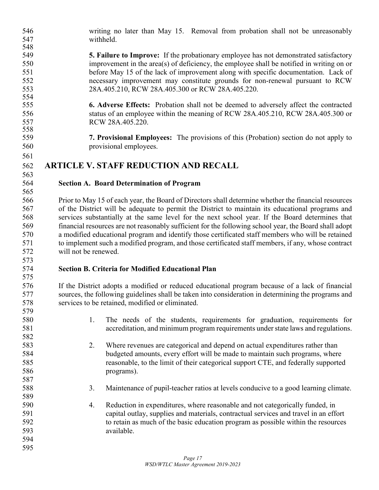writing no later than May 15. Removal from probation shall not be unreasonably withheld.

- **5. Failure to Improve:** If the probationary employee has not demonstrated satisfactory improvement in the area(s) of deficiency, the employee shall be notified in writing on or before May 15 of the lack of improvement along with specific documentation. Lack of necessary improvement may constitute grounds for non-renewal pursuant to RCW 28A.405.210, RCW 28A.405.300 or RCW 28A.405.220.
- **6. Adverse Effects:** Probation shall not be deemed to adversely affect the contracted status of an employee within the meaning of RCW 28A.405.210, RCW 28A.405.300 or RCW 28A.405.220.
- **7. Provisional Employees:** The provisions of this (Probation) section do not apply to provisional employees.

### **ARTICLE V. STAFF REDUCTION AND RECALL**

 

### **Section A. Board Determination of Program**

 Prior to May 15 of each year, the Board of Directors shall determine whether the financial resources of the District will be adequate to permit the District to maintain its educational programs and services substantially at the same level for the next school year. If the Board determines that financial resources are not reasonably sufficient for the following school year, the Board shall adopt a modified educational program and identify those certificated staff members who will be retained to implement such a modified program, and those certificated staff members, if any, whose contract will not be renewed.

### **Section B. Criteria for Modified Educational Plan**

 If the District adopts a modified or reduced educational program because of a lack of financial sources, the following guidelines shall be taken into consideration in determining the programs and services to be retained, modified or eliminated.

- 1. The needs of the students, requirements for graduation, requirements for accreditation, and minimum program requirements under state laws and regulations.
- 2. Where revenues are categorical and depend on actual expenditures rather than budgeted amounts, every effort will be made to maintain such programs, where reasonable, to the limit of their categorical support CTE, and federally supported programs).
- 3. Maintenance of pupil-teacher ratios at levels conducive to a good learning climate.
- 4. Reduction in expenditures, where reasonable and not categorically funded, in capital outlay, supplies and materials, contractual services and travel in an effort to retain as much of the basic education program as possible within the resources available.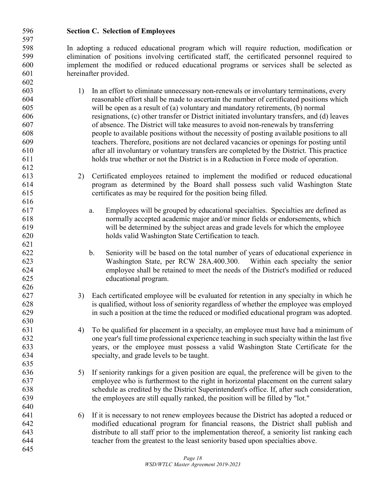In adopting a reduced educational program which will require reduction, modification or elimination of positions involving certificated staff, the certificated personnel required to implement the modified or reduced educational programs or services shall be selected as hereinafter provided. 1) In an effort to eliminate unnecessary non-renewals or involuntary terminations, every reasonable effort shall be made to ascertain the number of certificated positions which will be open as a result of (a) voluntary and mandatory retirements, (b) normal resignations, (c) other transfer or District initiated involuntary transfers, and (d) leaves of absence. The District will take measures to avoid non-renewals by transferring people to available positions without the necessity of posting available positions to all teachers. Therefore, positions are not declared vacancies or openings for posting until after all involuntary or voluntary transfers are completed by the District. This practice holds true whether or not the District is in a Reduction in Force mode of operation. 2) Certificated employees retained to implement the modified or reduced educational program as determined by the Board shall possess such valid Washington State certificates as may be required for the position being filled. a. Employees will be grouped by educational specialties. Specialties are defined as normally accepted academic major and/or minor fields or endorsements, which will be determined by the subject areas and grade levels for which the employee holds valid Washington State Certification to teach. b. Seniority will be based on the total number of years of educational experience in Washington State, per RCW 28A.400.300. Within each specialty the senior employee shall be retained to meet the needs of the District's modified or reduced educational program. 3) Each certificated employee will be evaluated for retention in any specialty in which he is qualified, without loss of seniority regardless of whether the employee was employed in such a position at the time the reduced or modified educational program was adopted. 4) To be qualified for placement in a specialty, an employee must have had a minimum of one year's full time professional experience teaching in such specialty within the last five years, or the employee must possess a valid Washington State Certificate for the specialty, and grade levels to be taught. 5) If seniority rankings for a given position are equal, the preference will be given to the employee who is furthermost to the right in horizontal placement on the current salary schedule as credited by the District Superintendent's office. If, after such consideration, the employees are still equally ranked, the position will be filled by "lot." 6) If it is necessary to not renew employees because the District has adopted a reduced or modified educational program for financial reasons, the District shall publish and distribute to all staff prior to the implementation thereof, a seniority list ranking each teacher from the greatest to the least seniority based upon specialties above. 

**Section C. Selection of Employees**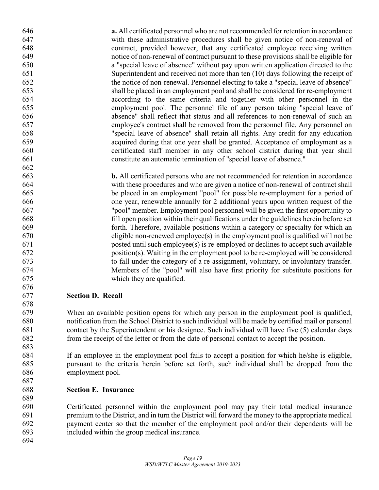**a.** All certificated personnel who are not recommended for retention in accordance with these administrative procedures shall be given notice of non-renewal of contract, provided however, that any certificated employee receiving written notice of non-renewal of contract pursuant to these provisions shall be eligible for a "special leave of absence" without pay upon written application directed to the Superintendent and received not more than ten (10) days following the receipt of the notice of non-renewal. Personnel electing to take a "special leave of absence" shall be placed in an employment pool and shall be considered for re-employment according to the same criteria and together with other personnel in the employment pool. The personnel file of any person taking "special leave of absence" shall reflect that status and all references to non-renewal of such an employee's contract shall be removed from the personnel file. Any personnel on "special leave of absence" shall retain all rights. Any credit for any education acquired during that one year shall be granted. Acceptance of employment as a certificated staff member in any other school district during that year shall constitute an automatic termination of "special leave of absence." **b.** All certificated persons who are not recommended for retention in accordance with these procedures and who are given a notice of non-renewal of contract shall be placed in an employment "pool" for possible re-employment for a period of one year, renewable annually for 2 additional years upon written request of the "pool" member. Employment pool personnel will be given the first opportunity to fill open position within their qualifications under the guidelines herein before set forth. Therefore, available positions within a category or specialty for which an

 posted until such employee(s) is re-employed or declines to accept such available position(s). Waiting in the employment pool to be re-employed will be considered to fall under the category of a re-assignment, voluntary, or involuntary transfer. Members of the "pool" will also have first priority for substitute positions for which they are qualified. **Section D. Recall**

 When an available position opens for which any person in the employment pool is qualified, notification from the School District to such individual will be made by certified mail or personal contact by the Superintendent or his designee. Such individual will have five (5) calendar days from the receipt of the letter or from the date of personal contact to accept the position.

 If an employee in the employment pool fails to accept a position for which he/she is eligible, pursuant to the criteria herein before set forth, such individual shall be dropped from the employment pool. 

eligible non-renewed employee(s) in the employment pool is qualified will not be

**Section E. Insurance**

 Certificated personnel within the employment pool may pay their total medical insurance premium to the District, and in turn the District will forward the money to the appropriate medical payment center so that the member of the employment pool and/or their dependents will be included within the group medical insurance.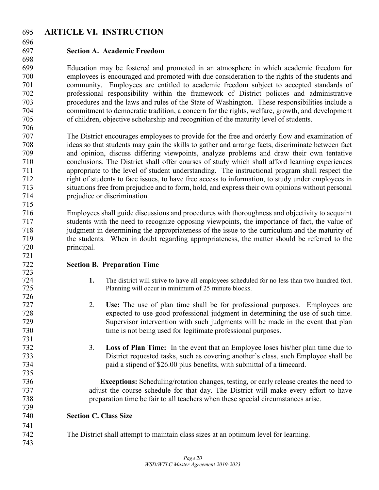### **ARTICLE VI. INSTRUCTION**

### **Section A. Academic Freedom**

 Education may be fostered and promoted in an atmosphere in which academic freedom for employees is encouraged and promoted with due consideration to the rights of the students and community. Employees are entitled to academic freedom subject to accepted standards of professional responsibility within the framework of District policies and administrative procedures and the laws and rules of the State of Washington. These responsibilities include a commitment to democratic tradition, a concern for the rights, welfare, growth, and development of children, objective scholarship and recognition of the maturity level of students. 

 The District encourages employees to provide for the free and orderly flow and examination of ideas so that students may gain the skills to gather and arrange facts, discriminate between fact and opinion, discuss differing viewpoints, analyze problems and draw their own tentative conclusions. The District shall offer courses of study which shall afford learning experiences appropriate to the level of student understanding. The instructional program shall respect the right of students to face issues, to have free access to information, to study under employees in situations free from prejudice and to form, hold, and express their own opinions without personal prejudice or discrimination.

 Employees shall guide discussions and procedures with thoroughness and objectivity to acquaint students with the need to recognize opposing viewpoints, the importance of fact, the value of judgment in determining the appropriateness of the issue to the curriculum and the maturity of the students. When in doubt regarding appropriateness, the matter should be referred to the principal.

### **Section B. Preparation Time**

- 1. The district will strive to have all employees scheduled for no less than two hundred fort. Planning will occur in minimum of 25 minute blocks.
- 2. **Use:** The use of plan time shall be for professional purposes. Employees are expected to use good professional judgment in determining the use of such time. Supervisor intervention with such judgments will be made in the event that plan time is not being used for legitimate professional purposes.
- 3. **Loss of Plan Time:** In the event that an Employee loses his/her plan time due to District requested tasks, such as covering another's class, such Employee shall be paid a stipend of \$26.00 plus benefits, with submittal of a timecard.

 **Exceptions:** Scheduling/rotation changes, testing, or early release creates the need to adjust the course schedule for that day. The District will make every effort to have preparation time be fair to all teachers when these special circumstances arise.

- **Section C. Class Size**
- The District shall attempt to maintain class sizes at an optimum level for learning.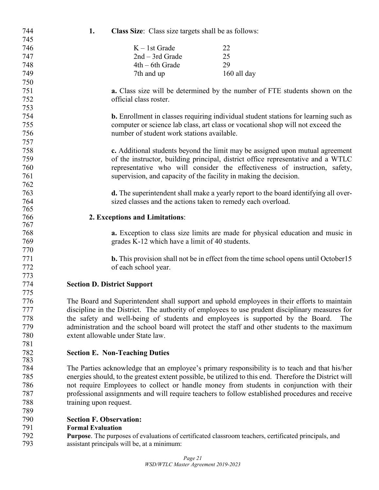| 744        | 1.                             | Class Size: Class size targets shall be as follows: |                                                                                                        |
|------------|--------------------------------|-----------------------------------------------------|--------------------------------------------------------------------------------------------------------|
| 745        |                                |                                                     |                                                                                                        |
| 746        |                                | $K - 1st$ Grade                                     | 22                                                                                                     |
| 747        |                                | $2nd - 3rd$ Grade                                   | 25                                                                                                     |
| 748        |                                | 4th – 6th Grade                                     | 29                                                                                                     |
| 749        |                                | 7th and up                                          | 160 all day                                                                                            |
| 750        |                                |                                                     |                                                                                                        |
| 751        |                                |                                                     | a. Class size will be determined by the number of FTE students shown on the                            |
| 752        |                                | official class roster.                              |                                                                                                        |
| 753        |                                |                                                     |                                                                                                        |
| 754        |                                |                                                     | <b>b.</b> Enrollment in classes requiring individual student stations for learning such as             |
| 755        |                                |                                                     | computer or science lab class, art class or vocational shop will not exceed the                        |
| 756        |                                | number of student work stations available.          |                                                                                                        |
| 757        |                                |                                                     |                                                                                                        |
| 758        |                                |                                                     | c. Additional students beyond the limit may be assigned upon mutual agreement                          |
| 759        |                                |                                                     | of the instructor, building principal, district office representative and a WTLC                       |
| 760        |                                |                                                     |                                                                                                        |
| 761        |                                |                                                     | representative who will consider the effectiveness of instruction, safety,                             |
| 762        |                                |                                                     | supervision, and capacity of the facility in making the decision.                                      |
|            |                                |                                                     |                                                                                                        |
| 763        |                                |                                                     | d. The superintendent shall make a yearly report to the board identifying all over-                    |
| 764<br>765 |                                |                                                     | sized classes and the actions taken to remedy each overload.                                           |
| 766        |                                | 2. Exceptions and Limitations:                      |                                                                                                        |
| 767        |                                |                                                     |                                                                                                        |
| 768        |                                |                                                     | a. Exception to class size limits are made for physical education and music in                         |
| 769        |                                | grades K-12 which have a limit of 40 students.      |                                                                                                        |
| 770        |                                |                                                     |                                                                                                        |
| 771        |                                |                                                     | <b>b.</b> This provision shall not be in effect from the time school opens until October15             |
| 772        |                                | of each school year.                                |                                                                                                        |
| 773        |                                |                                                     |                                                                                                        |
| 774        |                                | <b>Section D. District Support</b>                  |                                                                                                        |
| 775        |                                |                                                     |                                                                                                        |
| 776        |                                |                                                     | The Board and Superintendent shall support and uphold employees in their efforts to maintain           |
| 777        |                                |                                                     | discipline in the District. The authority of employees to use prudent disciplinary measures for        |
| 778        |                                |                                                     | the safety and well-being of students and employees is supported by the Board.<br>The                  |
| 779        |                                |                                                     | administration and the school board will protect the staff and other students to the maximum           |
| 780        |                                | extent allowable under State law.                   |                                                                                                        |
| 781        |                                |                                                     |                                                                                                        |
| 782        |                                | <b>Section E. Non-Teaching Duties</b>               |                                                                                                        |
| 783        |                                |                                                     |                                                                                                        |
| 784        |                                |                                                     | The Parties acknowledge that an employee's primary responsibility is to teach and that his/her         |
| 785        |                                |                                                     | energies should, to the greatest extent possible, be utilized to this end. Therefore the District will |
| 786        |                                |                                                     | not require Employees to collect or handle money from students in conjunction with their               |
| 787        |                                |                                                     | professional assignments and will require teachers to follow established procedures and receive        |
| 788        | training upon request.         |                                                     |                                                                                                        |
| 789        |                                |                                                     |                                                                                                        |
| 790        | <b>Section F. Observation:</b> |                                                     |                                                                                                        |
| 791        | <b>Formal Evaluation</b>       |                                                     |                                                                                                        |
| 792        |                                |                                                     | Purpose. The purposes of evaluations of certificated classroom teachers, certificated principals, and  |
| 793        |                                | assistant principals will be, at a minimum:         |                                                                                                        |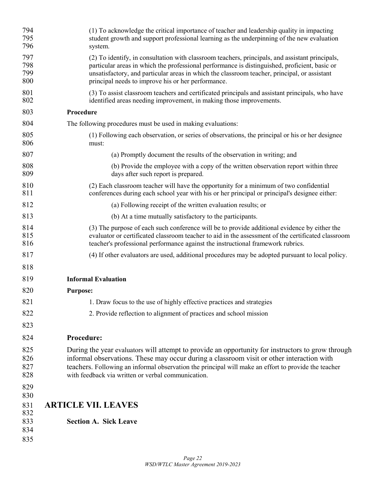| 794<br>795<br>796        | (1) To acknowledge the critical importance of teacher and leadership quality in impacting<br>student growth and support professional learning as the underpinning of the new evaluation<br>system.                                                                                                                                                           |
|--------------------------|--------------------------------------------------------------------------------------------------------------------------------------------------------------------------------------------------------------------------------------------------------------------------------------------------------------------------------------------------------------|
| 797<br>798<br>799<br>800 | (2) To identify, in consultation with classroom teachers, principals, and assistant principals,<br>particular areas in which the professional performance is distinguished, proficient, basic or<br>unsatisfactory, and particular areas in which the classroom teacher, principal, or assistant<br>principal needs to improve his or her performance.       |
| 801<br>802               | (3) To assist classroom teachers and certificated principals and assistant principals, who have<br>identified areas needing improvement, in making those improvements.                                                                                                                                                                                       |
| 803                      | Procedure                                                                                                                                                                                                                                                                                                                                                    |
| 804                      | The following procedures must be used in making evaluations:                                                                                                                                                                                                                                                                                                 |
| 805<br>806               | (1) Following each observation, or series of observations, the principal or his or her designee<br>must:                                                                                                                                                                                                                                                     |
| 807                      | (a) Promptly document the results of the observation in writing; and                                                                                                                                                                                                                                                                                         |
| 808<br>809               | (b) Provide the employee with a copy of the written observation report within three<br>days after such report is prepared.                                                                                                                                                                                                                                   |
| 810<br>811               | (2) Each classroom teacher will have the opportunity for a minimum of two confidential<br>conferences during each school year with his or her principal or principal's designee either:                                                                                                                                                                      |
| 812                      | (a) Following receipt of the written evaluation results; or                                                                                                                                                                                                                                                                                                  |
| 813                      | (b) At a time mutually satisfactory to the participants.                                                                                                                                                                                                                                                                                                     |
| 814<br>815<br>816        | (3) The purpose of each such conference will be to provide additional evidence by either the<br>evaluator or certificated classroom teacher to aid in the assessment of the certificated classroom<br>teacher's professional performance against the instructional framework rubrics.                                                                        |
| 817                      | (4) If other evaluators are used, additional procedures may be adopted pursuant to local policy.                                                                                                                                                                                                                                                             |
| 818                      |                                                                                                                                                                                                                                                                                                                                                              |
| 819                      | <b>Informal Evaluation</b>                                                                                                                                                                                                                                                                                                                                   |
| 820                      | <b>Purpose:</b>                                                                                                                                                                                                                                                                                                                                              |
| 821                      | 1. Draw focus to the use of highly effective practices and strategies                                                                                                                                                                                                                                                                                        |
| 822                      | 2. Provide reflection to alignment of practices and school mission                                                                                                                                                                                                                                                                                           |
| 823                      |                                                                                                                                                                                                                                                                                                                                                              |
| 824                      | Procedure:                                                                                                                                                                                                                                                                                                                                                   |
| 825<br>826<br>827<br>828 | During the year evaluators will attempt to provide an opportunity for instructors to grow through<br>informal observations. These may occur during a classroom visit or other interaction with<br>teachers. Following an informal observation the principal will make an effort to provide the teacher<br>with feedback via written or verbal communication. |
| 829<br>830               |                                                                                                                                                                                                                                                                                                                                                              |
| 831<br>832               | <b>ARTICLE VII. LEAVES</b>                                                                                                                                                                                                                                                                                                                                   |
| 833                      | <b>Section A. Sick Leave</b>                                                                                                                                                                                                                                                                                                                                 |
| 834<br>835               |                                                                                                                                                                                                                                                                                                                                                              |
|                          |                                                                                                                                                                                                                                                                                                                                                              |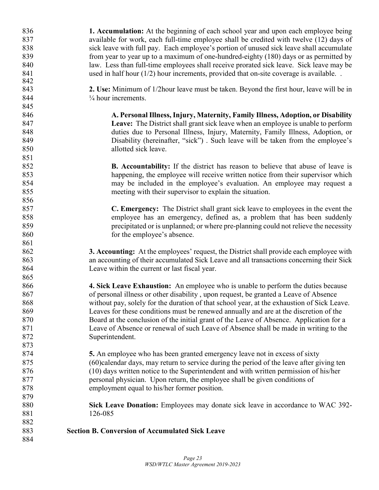| 836 | 1. Accumulation: At the beginning of each school year and upon each employee being             |
|-----|------------------------------------------------------------------------------------------------|
| 837 | available for work, each full-time employee shall be credited with twelve (12) days of         |
| 838 | sick leave with full pay. Each employee's portion of unused sick leave shall accumulate        |
| 839 | from year to year up to a maximum of one-hundred-eighty (180) days or as permitted by          |
| 840 | law. Less than full-time employees shall receive prorated sick leave. Sick leave may be        |
| 841 | used in half hour $(1/2)$ hour increments, provided that on-site coverage is available         |
| 842 |                                                                                                |
| 843 | 2. Use: Minimum of 1/2 hour leave must be taken. Beyond the first hour, leave will be in       |
| 844 | $\frac{1}{4}$ hour increments.                                                                 |
| 845 |                                                                                                |
| 846 | A. Personal Illness, Injury, Maternity, Family Illness, Adoption, or Disability                |
| 847 | Leave: The District shall grant sick leave when an employee is unable to perform               |
| 848 | duties due to Personal Illness, Injury, Maternity, Family Illness, Adoption, or                |
| 849 | Disability (hereinafter, "sick"). Such leave will be taken from the employee's                 |
| 850 | allotted sick leave.                                                                           |
| 851 |                                                                                                |
| 852 | B. Accountability: If the district has reason to believe that abuse of leave is                |
| 853 | happening, the employee will receive written notice from their supervisor which                |
| 854 | may be included in the employee's evaluation. An employee may request a                        |
| 855 | meeting with their supervisor to explain the situation.                                        |
| 856 |                                                                                                |
| 857 | <b>C. Emergency:</b> The District shall grant sick leave to employees in the event the         |
| 858 | employee has an emergency, defined as, a problem that has been suddenly                        |
| 859 | precipitated or is unplanned; or where pre-planning could not relieve the necessity            |
| 860 | for the employee's absence.                                                                    |
| 861 |                                                                                                |
| 862 | <b>3. Accounting:</b> At the employees' request, the District shall provide each employee with |
| 863 | an accounting of their accumulated Sick Leave and all transactions concerning their Sick       |
| 864 | Leave within the current or last fiscal year.                                                  |
| 865 |                                                                                                |
| 866 | 4. Sick Leave Exhaustion: An employee who is unable to perform the duties because              |
| 867 | of personal illness or other disability, upon request, be granted a Leave of Absence           |
| 868 | without pay, solely for the duration of that school year, at the exhaustion of Sick Leave      |
| 869 | Leaves for these conditions must be renewed annually and are at the discretion of the          |
| 870 | Board at the conclusion of the initial grant of the Leave of Absence. Application for a        |
| 871 | Leave of Absence or renewal of such Leave of Absence shall be made in writing to the           |
| 872 | Superintendent.                                                                                |
| 873 |                                                                                                |
| 874 | <b>5.</b> An employee who has been granted emergency leave not in excess of sixty              |
| 875 | (60)calendar days, may return to service during the period of the leave after giving ten       |
| 876 | (10) days written notice to the Superintendent and with written permission of his/her          |
| 877 | personal physician. Upon return, the employee shall be given conditions of                     |
| 878 | employment equal to his/her former position.                                                   |
| 879 |                                                                                                |
| 880 | Sick Leave Donation: Employees may donate sick leave in accordance to WAC 392-                 |
| 881 | 126-085                                                                                        |
| 882 |                                                                                                |
| 883 | <b>Section B. Conversion of Accumulated Sick Leave</b>                                         |
| 884 |                                                                                                |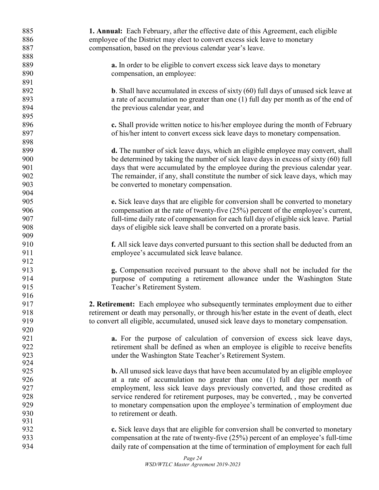| 885        | <b>1. Annual:</b> Each February, after the effective date of this Agreement, each eligible   |
|------------|----------------------------------------------------------------------------------------------|
| 886        | employee of the District may elect to convert excess sick leave to monetary                  |
| 887        | compensation, based on the previous calendar year's leave.                                   |
| 888        |                                                                                              |
| 889        | <b>a.</b> In order to be eligible to convert excess sick leave days to monetary              |
| 890        | compensation, an employee:                                                                   |
| 891        |                                                                                              |
| 892        | <b>b.</b> Shall have accumulated in excess of sixty $(60)$ full days of unused sick leave at |
| 893        | a rate of accumulation no greater than one (1) full day per month as of the end of           |
| 894        | the previous calendar year, and                                                              |
| 895        |                                                                                              |
| 896        | c. Shall provide written notice to his/her employee during the month of February             |
| 897        | of his/her intent to convert excess sick leave days to monetary compensation.                |
| 898        |                                                                                              |
| 899        | d. The number of sick leave days, which an eligible employee may convert, shall              |
| 900        | be determined by taking the number of sick leave days in excess of sixty (60) full           |
| 901        | days that were accumulated by the employee during the previous calendar year.                |
| 902        | The remainder, if any, shall constitute the number of sick leave days, which may             |
| 903        | be converted to monetary compensation.                                                       |
| 904        |                                                                                              |
| 905        | e. Sick leave days that are eligible for conversion shall be converted to monetary           |
| 906        | compensation at the rate of twenty-five (25%) percent of the employee's current,             |
| 907        | full-time daily rate of compensation for each full day of eligible sick leave. Partial       |
| 908        | days of eligible sick leave shall be converted on a prorate basis.                           |
| 909        |                                                                                              |
| 910        | <b>f.</b> All sick leave days converted pursuant to this section shall be deducted from an   |
| 911        | employee's accumulated sick leave balance.                                                   |
| 912        |                                                                                              |
| 913        | g. Compensation received pursuant to the above shall not be included for the                 |
| 914        | purpose of computing a retirement allowance under the Washington State                       |
| 915        | Teacher's Retirement System.                                                                 |
| 916        |                                                                                              |
| 917        | 2. Retirement: Each employee who subsequently terminates employment due to either            |
| 918        | retirement or death may personally, or through his/her estate in the event of death, elect   |
| 919        | to convert all eligible, accumulated, unused sick leave days to monetary compensation.       |
| 920        |                                                                                              |
| 921        | a. For the purpose of calculation of conversion of excess sick leave days,                   |
| 922        | retirement shall be defined as when an employee is eligible to receive benefits              |
| 923        | under the Washington State Teacher's Retirement System.                                      |
| 924        |                                                                                              |
| 925        | <b>b.</b> All unused sick leave days that have been accumulated by an eligible employee      |
| 926        | at a rate of accumulation no greater than one (1) full day per month of                      |
| 927        | employment, less sick leave days previously converted, and those credited as                 |
| 928        | service rendered for retirement purposes, may be converted, , may be converted               |
| 929        | to monetary compensation upon the employee's termination of employment due                   |
| 930        | to retirement or death.                                                                      |
| 931<br>932 |                                                                                              |
| 933        | c. Sick leave days that are eligible for conversion shall be converted to monetary           |
| 934        | compensation at the rate of twenty-five (25%) percent of an employee's full-time             |
|            | daily rate of compensation at the time of termination of employment for each full            |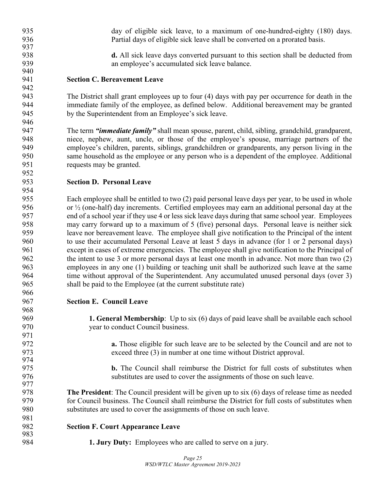| 939        | an employee's accumulated sick leave balance.                                                                   |
|------------|-----------------------------------------------------------------------------------------------------------------|
| 940        |                                                                                                                 |
| 941        | <b>Section C. Bereavement Leave</b>                                                                             |
| 942<br>943 | The District shall grant employees up to four (4) days with pay per occurrence for death in the                 |
| 944        | immediate family of the employee, as defined below. Additional bereavement may be granted                       |
| 945        | by the Superintendent from an Employee's sick leave.                                                            |
| 946        |                                                                                                                 |
| 947        | The term " <b><i>immediate family</i></b> " shall mean spouse, parent, child, sibling, grandchild, grandparent, |
| 948        | niece, nephew, aunt, uncle, or those of the employee's spouse, marriage partners of the                         |
| 949        | employee's children, parents, siblings, grandchildren or grandparents, any person living in the                 |
| 950        | same household as the employee or any person who is a dependent of the employee. Additional                     |
| 951        | requests may be granted.                                                                                        |
| 952        |                                                                                                                 |
| 953        | <b>Section D. Personal Leave</b>                                                                                |
| 954        |                                                                                                                 |
| 955        | Each employee shall be entitled to two (2) paid personal leave days per year, to be used in whole               |
| 956        | or $\frac{1}{2}$ (one-half) day increments. Certified employees may earn an additional personal day at the      |
| 957        | end of a school year if they use 4 or less sick leave days during that same school year. Employees              |
| 958        | may carry forward up to a maximum of 5 (five) personal days. Personal leave is neither sick                     |
| 959        | leave nor bereavement leave. The employee shall give notification to the Principal of the intent                |
| 960        | to use their accumulated Personal Leave at least 5 days in advance (for 1 or 2 personal days)                   |
| 961        | except in cases of extreme emergencies. The employee shall give notification to the Principal of                |
| 962        | the intent to use 3 or more personal days at least one month in advance. Not more than two (2)                  |
| 963        | employees in any one (1) building or teaching unit shall be authorized such leave at the same                   |
| 964        | time without approval of the Superintendent. Any accumulated unused personal days (over 3)                      |
| 965        | shall be paid to the Employee (at the current substitute rate)                                                  |
| 966        |                                                                                                                 |
| 967        | <b>Section E. Council Leave</b>                                                                                 |
| 968        |                                                                                                                 |
| 969        | <b>1. General Membership:</b> Up to six (6) days of paid leave shall be available each school                   |
| 970        | year to conduct Council business.                                                                               |
| 971        |                                                                                                                 |
| 972        | <b>a.</b> Those eligible for such leave are to be selected by the Council and are not to                        |
| 973        | exceed three (3) in number at one time without District approval.                                               |
| 974        |                                                                                                                 |
| 975        | <b>b.</b> The Council shall reimburse the District for full costs of substitutes when                           |
| 976<br>977 | substitutes are used to cover the assignments of those on such leave.                                           |
| 978        | The President: The Council president will be given up to six (6) days of release time as needed                 |
| 979        | for Council business. The Council shall reimburse the District for full costs of substitutes when               |
| 980        | substitutes are used to cover the assignments of those on such leave.                                           |
| 981        |                                                                                                                 |
| 982        | <b>Section F. Court Appearance Leave</b>                                                                        |
| 983        |                                                                                                                 |
| 984        | <b>1. Jury Duty:</b> Employees who are called to serve on a jury.                                               |

935 day of eligible sick leave, to a maximum of one-hundred-eighty (180) days.<br>936 Partial days of eligible sick leave shall be converted on a prorated basis.

937<br>938

Partial days of eligible sick leave shall be converted on a prorated basis.

d. All sick leave days converted pursuant to this section shall be deducted from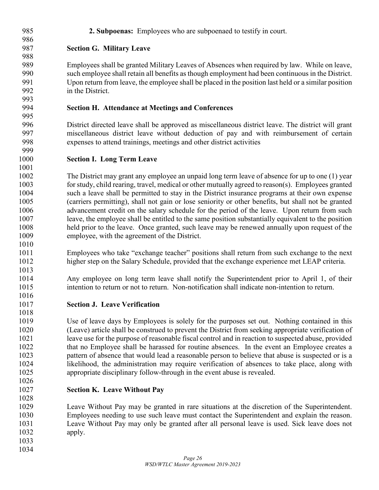- **2. Subpoenas:** Employees who are subpoenaed to testify in court. **Section G. Military Leave** Employees shall be granted Military Leaves of Absences when required by law. While on leave, such employee shall retain all benefits as though employment had been continuous in the District. Upon return from leave, the employee shall be placed in the position last held or a similar position in the District. **Section H. Attendance at Meetings and Conferences** District directed leave shall be approved as miscellaneous district leave. The district will grant miscellaneous district leave without deduction of pay and with reimbursement of certain expenses to attend trainings, meetings and other district activities **Section I. Long Term Leave** The District may grant any employee an unpaid long term leave of absence for up to one (1) year for study, child rearing, travel, medical or other mutually agreed to reason(s). Employees granted such a leave shall be permitted to stay in the District insurance programs at their own expense (carriers permitting), shall not gain or lose seniority or other benefits, but shall not be granted advancement credit on the salary schedule for the period of the leave. Upon return from such leave, the employee shall be entitled to the same position substantially equivalent to the position held prior to the leave. Once granted, such leave may be renewed annually upon request of the employee, with the agreement of the District. Employees who take "exchange teacher" positions shall return from such exchange to the next higher step on the Salary Schedule, provided that the exchange experience met LEAP criteria. Any employee on long term leave shall notify the Superintendent prior to April 1, of their intention to return or not to return. Non-notification shall indicate non-intention to return. **Section J. Leave Verification** Use of leave days by Employees is solely for the purposes set out. Nothing contained in this (Leave) article shall be construed to prevent the District from seeking appropriate verification of leave use for the purpose of reasonable fiscal control and in reaction to suspected abuse, provided that no Employee shall be harassed for routine absences. In the event an Employee creates a pattern of absence that would lead a reasonable person to believe that abuse is suspected or is a likelihood, the administration may require verification of absences to take place, along with
- appropriate disciplinary follow-through in the event abuse is revealed.

### **Section K. Leave Without Pay**

 Leave Without Pay may be granted in rare situations at the discretion of the Superintendent. Employees needing to use such leave must contact the Superintendent and explain the reason. Leave Without Pay may only be granted after all personal leave is used. Sick leave does not apply.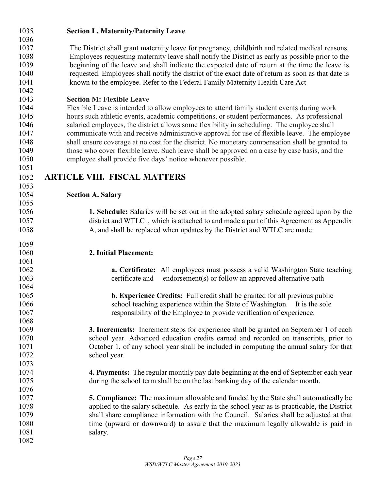| 1035<br>1036 | <b>Section L. Maternity/Paternity Leave.</b>                                                       |
|--------------|----------------------------------------------------------------------------------------------------|
| 1037         | The District shall grant maternity leave for pregnancy, childbirth and related medical reasons.    |
| 1038         | Employees requesting maternity leave shall notify the District as early as possible prior to the   |
| 1039         | beginning of the leave and shall indicate the expected date of return at the time the leave is     |
| 1040         | requested. Employees shall notify the district of the exact date of return as soon as that date is |
| 1041         | known to the employee. Refer to the Federal Family Maternity Health Care Act                       |
| 1042         |                                                                                                    |
| 1043         | <b>Section M: Flexible Leave</b>                                                                   |
| 1044         | Flexible Leave is intended to allow employees to attend family student events during work          |
| 1045         | hours such athletic events, academic competitions, or student performances. As professional        |
| 1046         | salaried employees, the district allows some flexibility in scheduling. The employee shall         |
| 1047         | communicate with and receive administrative approval for use of flexible leave. The employee       |
| 1048         | shall ensure coverage at no cost for the district. No monetary compensation shall be granted to    |
| 1049         | those who cover flexible leave. Such leave shall be approved on a case by case basis, and the      |
| 1050         | employee shall provide five days' notice whenever possible.                                        |
| 1051         |                                                                                                    |
| 1052         | <b>ARTICLE VIII. FISCAL MATTERS</b>                                                                |
| 1053         |                                                                                                    |
| 1054         | <b>Section A. Salary</b>                                                                           |
| 1055         |                                                                                                    |
| 1056         | 1. Schedule: Salaries will be set out in the adopted salary schedule agreed upon by the            |
| 1057         | district and WTLC, which is attached to and made a part of this Agreement as Appendix              |
| 1058         | A, and shall be replaced when updates by the District and WTLC are made                            |
| 1059         |                                                                                                    |
| 1060         | 2. Initial Placement:                                                                              |
| 1061<br>1062 | a. Certificate: All employees must possess a valid Washington State teaching                       |
| 1063         | certificate and<br>endorsement(s) or follow an approved alternative path                           |
| 1064         |                                                                                                    |
| 1065         | <b>b. Experience Credits:</b> Full credit shall be granted for all previous public                 |
| 1066         | school teaching experience within the State of Washington. It is the sole                          |
| 1067         | responsibility of the Employee to provide verification of experience.                              |
| 1068         |                                                                                                    |
| 1069         | <b>3. Increments:</b> Increment steps for experience shall be granted on September 1 of each       |
| 1070         | school year. Advanced education credits earned and recorded on transcripts, prior to               |
| 1071         | October 1, of any school year shall be included in computing the annual salary for that            |
| 1072         | school year.                                                                                       |
| 1073         |                                                                                                    |
| 1074         | 4. Payments: The regular monthly pay date beginning at the end of September each year              |
| 1075         | during the school term shall be on the last banking day of the calendar month.                     |
| 1076         |                                                                                                    |
| 1077         | <b>5. Compliance:</b> The maximum allowable and funded by the State shall automatically be         |
| 1078         | applied to the salary schedule. As early in the school year as is practicable, the District        |
| 1079         | shall share compliance information with the Council. Salaries shall be adjusted at that            |
| 1080         | time (upward or downward) to assure that the maximum legally allowable is paid in                  |
| 1081         | salary.                                                                                            |
| 1082         |                                                                                                    |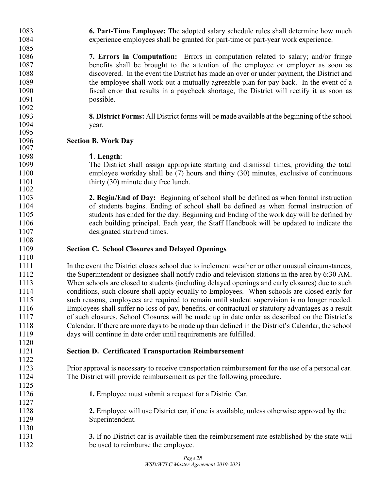**6. Part-Time Employee:** The adopted salary schedule rules shall determine how much experience employees shall be granted for part-time or part-year work experience.

 **7. Errors in Computation:** Errors in computation related to salary; and/or fringe benefits shall be brought to the attention of the employee or employer as soon as discovered. In the event the District has made an over or under payment, the District and the employee shall work out a mutually agreeable plan for pay back. In the event of a fiscal error that results in a paycheck shortage, the District will rectify it as soon as possible.

 **8. District Forms:** All District forms will be made available at the beginning of the school 1094 vear.

### **Section B. Work Day**

1095<br>1096

**1**. **Length**:

The District shall assign appropriate starting and dismissal times, providing the total employee workday shall be (7) hours and thirty (30) minutes, exclusive of continuous 1101 thirty (30) minute duty free lunch.

 **2. Begin/End of Day:** Beginning of school shall be defined as when formal instruction of students begins. Ending of school shall be defined as when formal instruction of students has ended for the day. Beginning and Ending of the work day will be defined by each building principal. Each year, the Staff Handbook will be updated to indicate the designated start/end times.

### **Section C. School Closures and Delayed Openings**

 In the event the District closes school due to inclement weather or other unusual circumstances, the Superintendent or designee shall notify radio and television stations in the area by 6:30 AM.<br>1113 When schools are closed to students (including delaved openings and early closures) due to such When schools are closed to students (including delayed openings and early closures) due to such conditions, such closure shall apply equally to Employees. When schools are closed early for such reasons, employees are required to remain until student supervision is no longer needed. Employees shall suffer no loss of pay, benefits, or contractual or statutory advantages as a result of such closures. School Closures will be made up in date order as described on the District's 1118 Calendar. If there are more days to be made up than defined in the District's Calendar, the school<br>1119 days will continue in date order until requirements are fulfilled. days will continue in date order until requirements are fulfilled.

**Section D. Certificated Transportation Reimbursement**

 Prior approval is necessary to receive transportation reimbursement for the use of a personal car. The District will provide reimbursement as per the following procedure.

- **1.** Employee must submit a request for a District Car.
- **2.** Employee will use District car, if one is available, unless otherwise approved by the Superintendent.
- **3.** If no District car is available then the reimbursement rate established by the state will be used to reimburse the employee.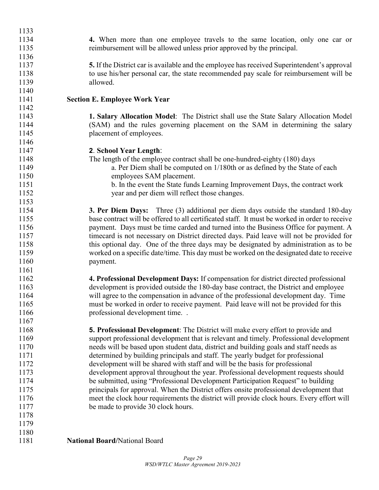| 1133 |                                                                                                |
|------|------------------------------------------------------------------------------------------------|
| 1134 | 4. When more than one employee travels to the same location, only one car or                   |
| 1135 | reimbursement will be allowed unless prior approved by the principal.                          |
| 1136 |                                                                                                |
| 1137 | 5. If the District car is available and the employee has received Superintendent's approval    |
| 1138 | to use his/her personal car, the state recommended pay scale for reimbursement will be         |
| 1139 | allowed.                                                                                       |
| 1140 |                                                                                                |
| 1141 | <b>Section E. Employee Work Year</b>                                                           |
| 1142 |                                                                                                |
| 1143 | 1. Salary Allocation Model: The District shall use the State Salary Allocation Model           |
| 1144 | (SAM) and the rules governing placement on the SAM in determining the salary                   |
| 1145 | placement of employees.                                                                        |
| 1146 |                                                                                                |
| 1147 | 2. School Year Length:                                                                         |
| 1148 | The length of the employee contract shall be one-hundred-eighty (180) days                     |
| 1149 | a. Per Diem shall be computed on 1/180th or as defined by the State of each                    |
| 1150 | employees SAM placement.                                                                       |
| 1151 | b. In the event the State funds Learning Improvement Days, the contract work                   |
| 1152 | year and per diem will reflect those changes.                                                  |
| 1153 |                                                                                                |
| 1154 | <b>3. Per Diem Days:</b> Three (3) additional per diem days outside the standard 180-day       |
| 1155 | base contract will be offered to all certificated staff. It must be worked in order to receive |
| 1156 | payment. Days must be time carded and turned into the Business Office for payment. A           |
| 1157 | timecard is not necessary on District directed days. Paid leave will not be provided for       |
| 1158 | this optional day. One of the three days may be designated by administration as to be          |
| 1159 | worked on a specific date/time. This day must be worked on the designated date to receive      |
| 1160 | payment.                                                                                       |
| 1161 |                                                                                                |
| 1162 | 4. Professional Development Days: If compensation for district directed professional           |
| 1163 | development is provided outside the 180-day base contract, the District and employee           |
| 1164 | will agree to the compensation in advance of the professional development day. Time            |
| 1165 | must be worked in order to receive payment. Paid leave will not be provided for this           |
| 1166 | professional development time                                                                  |
| 1167 |                                                                                                |
| 1168 | <b>5. Professional Development:</b> The District will make every effort to provide and         |
| 1169 | support professional development that is relevant and timely. Professional development         |
| 1170 | needs will be based upon student data, district and building goals and staff needs as          |
| 1171 | determined by building principals and staff. The yearly budget for professional                |
| 1172 | development will be shared with staff and will be the basis for professional                   |
| 1173 | development approval throughout the year. Professional development requests should             |
| 1174 | be submitted, using "Professional Development Participation Request" to building               |
| 1175 | principals for approval. When the District offers onsite professional development that         |
| 1176 | meet the clock hour requirements the district will provide clock hours. Every effort will      |
| 1177 | be made to provide 30 clock hours.                                                             |
| 1178 |                                                                                                |
| 1179 |                                                                                                |
| 1180 |                                                                                                |
| 1181 | <b>National Board/National Board</b>                                                           |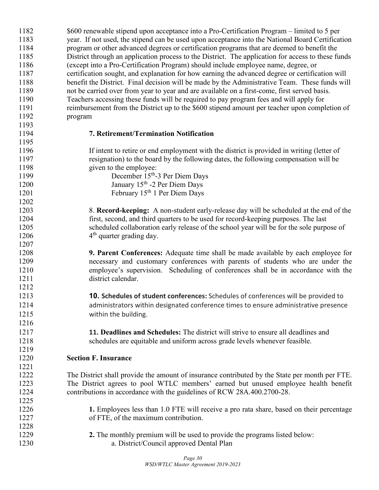| 1182 | \$600 renewable stipend upon acceptance into a Pro-Certification Program – limited to 5 per        |
|------|----------------------------------------------------------------------------------------------------|
| 1183 | year. If not used, the stipend can be used upon acceptance into the National Board Certification   |
| 1184 | program or other advanced degrees or certification programs that are deemed to benefit the         |
| 1185 | District through an application process to the District. The application for access to these funds |
| 1186 | (except into a Pro-Certification Program) should include employee name, degree, or                 |
| 1187 | certification sought, and explanation for how earning the advanced degree or certification will    |
| 1188 | benefit the District. Final decision will be made by the Administrative Team. These funds will     |
| 1189 | not be carried over from year to year and are available on a first-come, first served basis.       |
| 1190 | Teachers accessing these funds will be required to pay program fees and will apply for             |
| 1191 | reimbursement from the District up to the \$600 stipend amount per teacher upon completion of      |
| 1192 | program                                                                                            |
| 1193 |                                                                                                    |
| 1194 | 7. Retirement/Termination Notification                                                             |
| 1195 |                                                                                                    |
| 1196 | If intent to retire or end employment with the district is provided in writing (letter of          |
| 1197 | resignation) to the board by the following dates, the following compensation will be               |
| 1198 | given to the employee:                                                                             |
| 1199 | December 15 <sup>th</sup> -3 Per Diem Days                                                         |
| 1200 | January 15 <sup>th</sup> -2 Per Diem Days                                                          |
| 1201 | February 15 <sup>th</sup> 1 Per Diem Days                                                          |
| 1202 |                                                                                                    |
| 1203 | 8. Record-keeping: A non-student early-release day will be scheduled at the end of the             |
| 1204 | first, second, and third quarters to be used for record-keeping purposes. The last                 |
| 1205 | scheduled collaboration early release of the school year will be for the sole purpose of           |
| 1206 | $4th$ quarter grading day.                                                                         |
| 1207 |                                                                                                    |
| 1208 | 9. Parent Conferences: Adequate time shall be made available by each employee for                  |
| 1209 | necessary and customary conferences with parents of students who are under the                     |
| 1210 | employee's supervision. Scheduling of conferences shall be in accordance with the                  |
| 1211 | district calendar.                                                                                 |
| 1212 |                                                                                                    |
| 1213 | 10. Schedules of student conferences: Schedules of conferences will be provided to                 |
| 1214 | administrators within designated conference times to ensure administrative presence                |
| 1215 | within the building.                                                                               |
| 1216 |                                                                                                    |
| 1217 | 11. Deadlines and Schedules: The district will strive to ensure all deadlines and                  |
| 1218 | schedules are equitable and uniform across grade levels whenever feasible.                         |
| 1219 |                                                                                                    |
| 1220 | <b>Section F. Insurance</b>                                                                        |
| 1221 |                                                                                                    |
| 1222 | The District shall provide the amount of insurance contributed by the State per month per FTE.     |
| 1223 | The District agrees to pool WTLC members' earned but unused employee health benefit                |
| 1224 | contributions in accordance with the guidelines of RCW 28A.400.2700-28.                            |
| 1225 |                                                                                                    |
| 1226 | 1. Employees less than 1.0 FTE will receive a pro rata share, based on their percentage            |
| 1227 | of FTE, of the maximum contribution.                                                               |
| 1228 |                                                                                                    |
| 1229 | 2. The monthly premium will be used to provide the programs listed below:                          |
| 1230 | a. District/Council approved Dental Plan                                                           |
|      |                                                                                                    |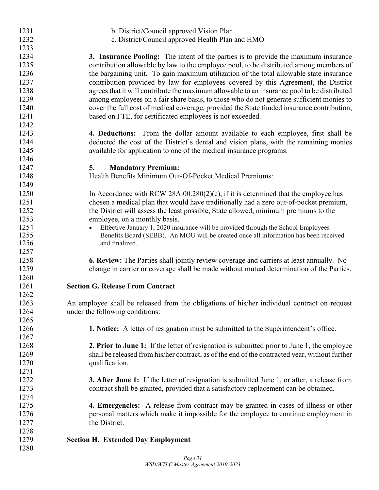| 1231         | b. District/Council approved Vision Plan                                                               |
|--------------|--------------------------------------------------------------------------------------------------------|
| 1232         | c. District/Council approved Health Plan and HMO                                                       |
| 1233         |                                                                                                        |
| 1234         | 3. Insurance Pooling: The intent of the parties is to provide the maximum insurance                    |
| 1235         | contribution allowable by law to the employee pool, to be distributed among members of                 |
| 1236         | the bargaining unit. To gain maximum utilization of the total allowable state insurance                |
| 1237         | contribution provided by law for employees covered by this Agreement, the District                     |
| 1238         | agrees that it will contribute the maximum allowable to an insurance pool to be distributed            |
| 1239         | among employees on a fair share basis, to those who do not generate sufficient monies to               |
| 1240         | cover the full cost of medical coverage, provided the State funded insurance contribution,             |
| 1241         | based on FTE, for certificated employees is not exceeded.                                              |
| 1242         |                                                                                                        |
| 1243         | <b>4. Deductions:</b> From the dollar amount available to each employee, first shall be                |
| 1244         | deducted the cost of the District's dental and vision plans, with the remaining monies                 |
| 1245         | available for application to one of the medical insurance programs.                                    |
| 1246         |                                                                                                        |
| 1247         | <b>Mandatory Premium:</b><br>5.                                                                        |
| 1248         | Health Benefits Minimum Out-Of-Pocket Medical Premiums:                                                |
| 1249         |                                                                                                        |
| 1250         | In Accordance with RCW 28A.00.280(2)(c), if it is determined that the employee has                     |
| 1251         |                                                                                                        |
|              | chosen a medical plan that would have traditionally had a zero out-of-pocket premium,                  |
| 1252         | the District will assess the least possible, State allowed, minimum premiums to the                    |
| 1253         | employee, on a monthly basis.                                                                          |
| 1254<br>1255 | Effective January 1, 2020 insurance will be provided through the School Employees                      |
| 1256         | Benefits Board (SEBB). An MOU will be created once all information has been received<br>and finalized. |
| 1257         |                                                                                                        |
| 1258         |                                                                                                        |
|              | 6. Review: The Parties shall jointly review coverage and carriers at least annually. No                |
| 1259         | change in carrier or coverage shall be made without mutual determination of the Parties.               |
| 1260         |                                                                                                        |
| 1261         | <b>Section G. Release From Contract</b>                                                                |
| 1262         |                                                                                                        |
| 1263         | An employee shall be released from the obligations of his/her individual contract on request           |
| 1264         | under the following conditions:                                                                        |
| 1265         |                                                                                                        |
| 1266         | <b>1. Notice:</b> A letter of resignation must be submitted to the Superintendent's office.            |
| 1267         |                                                                                                        |
| 1268         | <b>2. Prior to June 1:</b> If the letter of resignation is submitted prior to June 1, the employee     |
| 1269         | shall be released from his/her contract, as of the end of the contracted year, without further         |
| 1270         | qualification.                                                                                         |
| 1271         |                                                                                                        |
| 1272         | <b>3. After June 1:</b> If the letter of resignation is submitted June 1, or after, a release from     |
| 1273         | contract shall be granted, provided that a satisfactory replacement can be obtained.                   |
| 1274         |                                                                                                        |
| 1275         | <b>4. Emergencies:</b> A release from contract may be granted in cases of illness or other             |
| 1276         | personal matters which make it impossible for the employee to continue employment in                   |
| 1277         | the District.                                                                                          |
| 1278         |                                                                                                        |
| 1279         | <b>Section H. Extended Day Employment</b>                                                              |
| 1280         |                                                                                                        |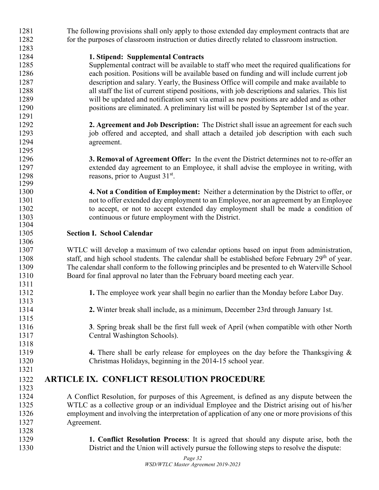| 1281 | The following provisions shall only apply to those extended day employment contracts that are                |  |  |  |  |  |
|------|--------------------------------------------------------------------------------------------------------------|--|--|--|--|--|
| 1282 | for the purposes of classroom instruction or duties directly related to classroom instruction.               |  |  |  |  |  |
| 1283 |                                                                                                              |  |  |  |  |  |
| 1284 | 1. Stipend: Supplemental Contracts                                                                           |  |  |  |  |  |
| 1285 | Supplemental contract will be available to staff who meet the required qualifications for                    |  |  |  |  |  |
| 1286 | each position. Positions will be available based on funding and will include current job                     |  |  |  |  |  |
| 1287 | description and salary. Yearly, the Business Office will compile and make available to                       |  |  |  |  |  |
| 1288 | all staff the list of current stipend positions, with job descriptions and salaries. This list               |  |  |  |  |  |
| 1289 | will be updated and notification sent via email as new positions are added and as other                      |  |  |  |  |  |
| 1290 | positions are eliminated. A preliminary list will be posted by September 1st of the year.                    |  |  |  |  |  |
| 1291 |                                                                                                              |  |  |  |  |  |
| 1292 | 2. Agreement and Job Description: The District shall issue an agreement for each such                        |  |  |  |  |  |
| 1293 | job offered and accepted, and shall attach a detailed job description with each such                         |  |  |  |  |  |
| 1294 | agreement.                                                                                                   |  |  |  |  |  |
| 1295 |                                                                                                              |  |  |  |  |  |
| 1296 | <b>3. Removal of Agreement Offer:</b> In the event the District determines not to re-offer an                |  |  |  |  |  |
| 1297 | extended day agreement to an Employee, it shall advise the employee in writing, with                         |  |  |  |  |  |
| 1298 | reasons, prior to August 31 <sup>st</sup> .                                                                  |  |  |  |  |  |
| 1299 |                                                                                                              |  |  |  |  |  |
| 1300 | 4. Not a Condition of Employment: Neither a determination by the District to offer, or                       |  |  |  |  |  |
| 1301 | not to offer extended day employment to an Employee, nor an agreement by an Employee                         |  |  |  |  |  |
| 1302 | to accept, or not to accept extended day employment shall be made a condition of                             |  |  |  |  |  |
| 1303 | continuous or future employment with the District.                                                           |  |  |  |  |  |
| 1304 |                                                                                                              |  |  |  |  |  |
| 1305 | <b>Section I. School Calendar</b>                                                                            |  |  |  |  |  |
| 1306 |                                                                                                              |  |  |  |  |  |
| 1307 | WTLC will develop a maximum of two calendar options based on input from administration,                      |  |  |  |  |  |
| 1308 | staff, and high school students. The calendar shall be established before February 29 <sup>th</sup> of year. |  |  |  |  |  |
| 1309 | The calendar shall conform to the following principles and be presented to eh Waterville School              |  |  |  |  |  |
| 1310 | Board for final approval no later than the February board meeting each year.                                 |  |  |  |  |  |
| 1311 |                                                                                                              |  |  |  |  |  |
| 1312 | 1. The employee work year shall begin no earlier than the Monday before Labor Day.                           |  |  |  |  |  |
| 1313 |                                                                                                              |  |  |  |  |  |
| 1314 | 2. Winter break shall include, as a minimum, December 23rd through January 1st.                              |  |  |  |  |  |
| 1315 |                                                                                                              |  |  |  |  |  |
| 1316 | 3. Spring break shall be the first full week of April (when compatible with other North                      |  |  |  |  |  |
| 1317 | Central Washington Schools).                                                                                 |  |  |  |  |  |
| 1318 |                                                                                                              |  |  |  |  |  |
| 1319 | 4. There shall be early release for employees on the day before the Thanksgiving $\&$                        |  |  |  |  |  |
| 1320 | Christmas Holidays, beginning in the 2014-15 school year.                                                    |  |  |  |  |  |
| 1321 |                                                                                                              |  |  |  |  |  |
| 1322 | <b>ARTICLE IX. CONFLICT RESOLUTION PROCEDURE</b>                                                             |  |  |  |  |  |
| 1323 |                                                                                                              |  |  |  |  |  |
| 1324 | A Conflict Resolution, for purposes of this Agreement, is defined as any dispute between the                 |  |  |  |  |  |
| 1325 | WTLC as a collective group or an individual Employee and the District arising out of his/her                 |  |  |  |  |  |
| 1326 | employment and involving the interpretation of application of any one or more provisions of this             |  |  |  |  |  |
| 1327 | Agreement.                                                                                                   |  |  |  |  |  |
| 1328 |                                                                                                              |  |  |  |  |  |
| 1329 | 1. Conflict Resolution Process: It is agreed that should any dispute arise, both the                         |  |  |  |  |  |
| 1330 | District and the Union will actively pursue the following steps to resolve the dispute:                      |  |  |  |  |  |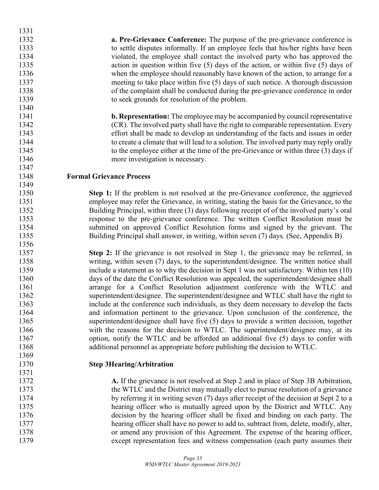**a. Pre-Grievance Conference:** The purpose of the pre-grievance conference is to settle disputes informally. If an employee feels that his/her rights have been violated, the employee shall contact the involved party who has approved the action in question within five (5) days of the action, or within five (5) days of 1336 when the employee should reasonably have known of the action, to arrange for a meeting to take place within five (5) days of such notice. A thorough discussion of the complaint shall be conducted during the pre-grievance conference in order to seek grounds for resolution of the problem.

 **b. Representation:** The employee may be accompanied by council representative (CR). The involved party shall have the right to comparable representation. Every effort shall be made to develop an understanding of the facts and issues in order to create a climate that will lead to a solution. The involved party may reply orally to the employee either at the time of the pre-Grievance or within three (3) days if 1346 more investigation is necessary.

**Formal Grievance Process**

 **Step 1:** If the problem is not resolved at the pre-Grievance conference, the aggrieved employee may refer the Grievance, in writing, stating the basis for the Grievance, to the Building Principal, within three (3) days following receipt of of the involved party's oral response to the pre-grievance conference. The written Conflict Resolution must be submitted on approved Conflict Resolution forms and signed by the grievant. The Building Principal shall answer, in writing, within seven (7) days. (See, Appendix B)

 **Step 2:** If the grievance is not resolved in Step 1, the grievance may be referred, in writing, within seven (7) days, to the superintendent/designee. The written notice shall include a statement as to why the decision in Sept 1 was not satisfactory. Within ten (10) days of the date the Conflict Resolution was appealed, the superintendent/designee shall arrange for a Conflict Resolution adjustment conference with the WTLC and superintendent/designee. The superintendent/designee and WTLC shall have the right to include at the conference such individuals, as they deem necessary to develop the facts and information pertinent to the grievance. Upon conclusion of the conference, the superintendent/designee shall have five (5) days to provide a written decision, together 1366 with the reasons for the decision to WTLC. The superintendent/designee may, at its option, notify the WTLC and be afforded an additional five (5) days to confer with additional personnel as appropriate before publishing the decision to WTLC.

### **Step 3Hearing/Arbitration**

 **A.** If the grievance is not resolved at Step 2 and in place of Step 3B Arbitration, the WTLC and the District may mutually elect to pursue resolution of a grievance 1374 by referring it in writing seven (7) days after receipt of the decision at Sept 2 to a hearing officer who is mutually agreed upon by the District and WTLC. Any decision by the hearing officer shall be fixed and binding on each party. The hearing officer shall have no power to add to, subtract from, delete, modify, alter, or amend any provision of this Agreement. The expense of the hearing officer, except representation fees and witness compensation (each party assumes their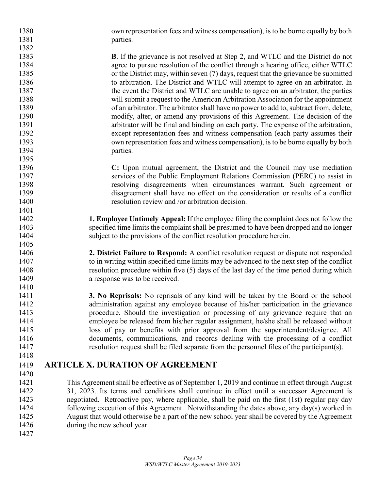own representation fees and witness compensation), is to be borne equally by both 1381 parties.

 **B**. If the grievance is not resolved at Step 2, and WTLC and the District do not agree to pursue resolution of the conflict through a hearing office, either WTLC or the District may, within seven (7) days, request that the grievance be submitted 1386 to arbitration. The District and WTLC will attempt to agree on an arbitrator. In 1387 the event the District and WTLC are unable to agree on an arbitrator, the parties will submit a request to the American Arbitration Association for the appointment of an arbitrator. The arbitrator shall have no power to add to, subtract from, delete, modify, alter, or amend any provisions of this Agreement. The decision of the arbitrator will be final and binding on each party. The expense of the arbitration, except representation fees and witness compensation (each party assumes their own representation fees and witness compensation), is to be borne equally by both 1394 parties.

 **C:** Upon mutual agreement, the District and the Council may use mediation services of the Public Employment Relations Commission (PERC) to assist in resolving disagreements when circumstances warrant. Such agreement or disagreement shall have no effect on the consideration or results of a conflict resolution review and /or arbitration decision.

 **1. Employee Untimely Appeal:** If the employee filing the complaint does not follow the specified time limits the complaint shall be presumed to have been dropped and no longer subject to the provisions of the conflict resolution procedure herein.

 **2. District Failure to Respond:** A conflict resolution request or dispute not responded to in writing within specified time limits may be advanced to the next step of the conflict resolution procedure within five (5) days of the last day of the time period during which **a** response was to be received.

 **3. No Reprisals:** No reprisals of any kind will be taken by the Board or the school administration against any employee because of his/her participation in the grievance procedure. Should the investigation or processing of any grievance require that an employee be released from his/her regular assignment, he/she shall be released without loss of pay or benefits with prior approval from the superintendent/designee. All documents, communications, and records dealing with the processing of a conflict resolution request shall be filed separate from the personnel files of the participant(s).

### **ARTICLE X. DURATION OF AGREEMENT**

 $\frac{1420}{1421}$ This Agreement shall be effective as of September 1, 2019 and continue in effect through August 31, 2023. Its terms and conditions shall continue in effect until a successor Agreement is negotiated. Retroactive pay, where applicable, shall be paid on the first (1st) regular pay day following execution of this Agreement. Notwithstanding the dates above, any day(s) worked in August that would otherwise be a part of the new school year shall be covered by the Agreement 1426 during the new school year.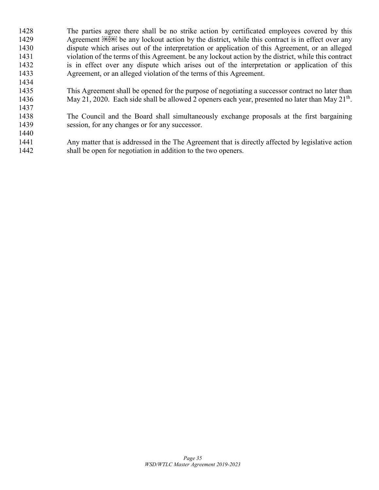The parties agree there shall be no strike action by certificated employees covered by this 1429 Agreement **EXECAL** be any lockout action by the district, while this contract is in effect over any dispute which arises out of the interpretation or application of this Agreement, or an alleged violation of the terms of this Agreement. be any lockout action by the district, while this contract is in effect over any dispute which arises out of the interpretation or application of this Agreement, or an alleged violation of the terms of this Agreement. 

 This Agreement shall be opened for the purpose of negotiating a successor contract no later than 1436 May 21, 2020. Each side shall be allowed 2 openers each year, presented no later than May  $21<sup>th</sup>$ .

 The Council and the Board shall simultaneously exchange proposals at the first bargaining session, for any changes or for any successor.

 Any matter that is addressed in the The Agreement that is directly affected by legislative action shall be open for negotiation in addition to the two openers.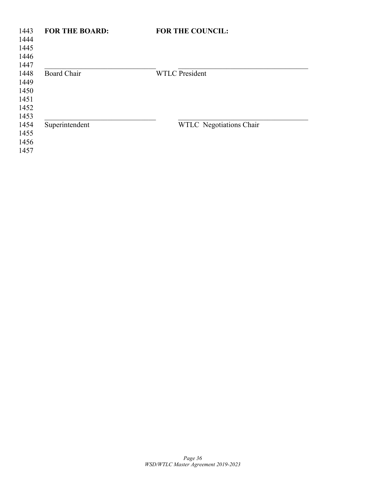| 1443<br>1444<br>1445<br>1446                 | <b>FOR THE BOARD:</b> | <b>FOR THE COUNCIL:</b> |
|----------------------------------------------|-----------------------|-------------------------|
| 1447<br>1448<br>1449<br>1450<br>1451<br>1452 | <b>Board Chair</b>    | <b>WTLC President</b>   |
| 1453<br>1454<br>1455<br>1456<br>1457         | Superintendent        | WTLC Negotiations Chair |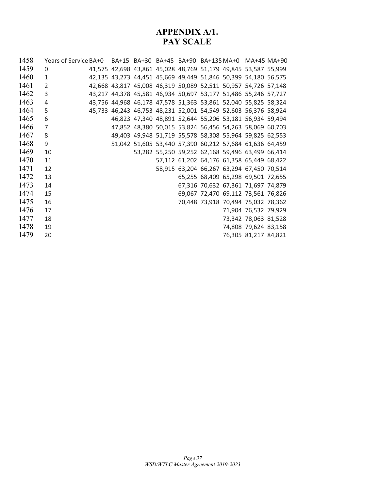### **APPENDIX A/1. PAY SCALE**

| 1458 | Years of Service BA+0 BA+15 BA+30 BA+45 BA+90 BA+135 MA+0 MA+45 MA+90 |  |  |  |                                                                |  |
|------|-----------------------------------------------------------------------|--|--|--|----------------------------------------------------------------|--|
| 1459 | $\Omega$                                                              |  |  |  | 41,575 42,698 43,861 45,028 48,769 51,179 49,845 53,587 55,999 |  |
| 1460 | $\mathbf{1}$                                                          |  |  |  | 42,135 43,273 44,451 45,669 49,449 51,846 50,399 54,180 56,575 |  |
| 1461 | $\overline{2}$                                                        |  |  |  | 42,668 43,817 45,008 46,319 50,089 52,511 50,957 54,726 57,148 |  |
| 1462 | 3                                                                     |  |  |  | 43,217 44,378 45,581 46,934 50,697 53,177 51,486 55,246 57,727 |  |
| 1463 | 4                                                                     |  |  |  | 43,756 44,968 46,178 47,578 51,363 53,861 52,040 55,825 58,324 |  |
| 1464 | 5                                                                     |  |  |  | 45,733 46,243 46,753 48,231 52,001 54,549 52,603 56,376 58,924 |  |
| 1465 | 6                                                                     |  |  |  | 46,823 47,340 48,891 52,644 55,206 53,181 56,934 59,494        |  |
| 1466 | $\overline{7}$                                                        |  |  |  | 47,852 48,380 50,015 53,824 56,456 54,263 58,069 60,703        |  |
| 1467 | 8                                                                     |  |  |  | 49,403 49,948 51,719 55,578 58,308 55,964 59,825 62,553        |  |
| 1468 | 9                                                                     |  |  |  | 51,042 51,605 53,440 57,390 60,212 57,684 61,636 64,459        |  |
| 1469 | 10                                                                    |  |  |  | 53,282 55,250 59,252 62,168 59,496 63,499 66,414               |  |
| 1470 | 11                                                                    |  |  |  | 57,112 61,202 64,176 61,358 65,449 68,422                      |  |
| 1471 | 12                                                                    |  |  |  | 58,915 63,204 66,267 63,294 67,450 70,514                      |  |
| 1472 | 13                                                                    |  |  |  | 65,255 68,409 65,298 69,501 72,655                             |  |
| 1473 | 14                                                                    |  |  |  | 67,316 70,632 67,361 71,697 74,879                             |  |
| 1474 | 15                                                                    |  |  |  | 69,067 72,470 69,112 73,561 76,826                             |  |
| 1475 | 16                                                                    |  |  |  | 70,448 73,918 70,494 75,032 78,362                             |  |
| 1476 | 17                                                                    |  |  |  | 71,904 76,532 79,929                                           |  |
| 1477 | 18                                                                    |  |  |  | 73,342 78,063 81,528                                           |  |
| 1478 | 19                                                                    |  |  |  | 74,808 79,624 83,158                                           |  |
| 1479 | 20                                                                    |  |  |  | 76,305 81,217 84,821                                           |  |
|      |                                                                       |  |  |  |                                                                |  |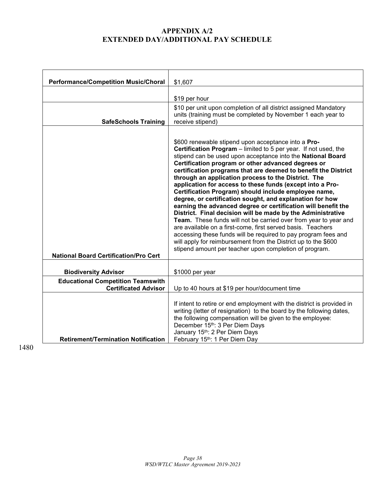### **APPENDIX A/2 EXTENDED DAY/ADDITIONAL PAY SCHEDULE**

| <b>Performance/Competition Music/Choral</b>                             | \$1,607                                                                                                                                                                                                                                                                                                                                                                                                                                                                                                                                                                                                                                                                                                                                                                                                                                                                                                                                                                                                                |
|-------------------------------------------------------------------------|------------------------------------------------------------------------------------------------------------------------------------------------------------------------------------------------------------------------------------------------------------------------------------------------------------------------------------------------------------------------------------------------------------------------------------------------------------------------------------------------------------------------------------------------------------------------------------------------------------------------------------------------------------------------------------------------------------------------------------------------------------------------------------------------------------------------------------------------------------------------------------------------------------------------------------------------------------------------------------------------------------------------|
|                                                                         | \$19 per hour                                                                                                                                                                                                                                                                                                                                                                                                                                                                                                                                                                                                                                                                                                                                                                                                                                                                                                                                                                                                          |
| <b>SafeSchools Training</b>                                             | \$10 per unit upon completion of all district assigned Mandatory<br>units (training must be completed by November 1 each year to<br>receive stipend)                                                                                                                                                                                                                                                                                                                                                                                                                                                                                                                                                                                                                                                                                                                                                                                                                                                                   |
| <b>National Board Certification/Pro Cert</b>                            | \$600 renewable stipend upon acceptance into a Pro-<br>Certification Program - limited to 5 per year. If not used, the<br>stipend can be used upon acceptance into the National Board<br>Certification program or other advanced degrees or<br>certification programs that are deemed to benefit the District<br>through an application process to the District. The<br>application for access to these funds (except into a Pro-<br>Certification Program) should include employee name,<br>degree, or certification sought, and explanation for how<br>earning the advanced degree or certification will benefit the<br>District. Final decision will be made by the Administrative<br>Team. These funds will not be carried over from year to year and<br>are available on a first-come, first served basis. Teachers<br>accessing these funds will be required to pay program fees and<br>will apply for reimbursement from the District up to the \$600<br>stipend amount per teacher upon completion of program. |
| <b>Biodiversity Advisor</b>                                             | \$1000 per year                                                                                                                                                                                                                                                                                                                                                                                                                                                                                                                                                                                                                                                                                                                                                                                                                                                                                                                                                                                                        |
| <b>Educational Competition Teamswith</b><br><b>Certificated Advisor</b> | Up to 40 hours at \$19 per hour/document time                                                                                                                                                                                                                                                                                                                                                                                                                                                                                                                                                                                                                                                                                                                                                                                                                                                                                                                                                                          |
| <b>Retirement/Termination Notification</b>                              | If intent to retire or end employment with the district is provided in<br>writing (letter of resignation) to the board by the following dates,<br>the following compensation will be given to the employee:<br>December 15th: 3 Per Diem Days<br>January 15th: 2 Per Diem Days<br>February 15th: 1 Per Diem Day                                                                                                                                                                                                                                                                                                                                                                                                                                                                                                                                                                                                                                                                                                        |

1480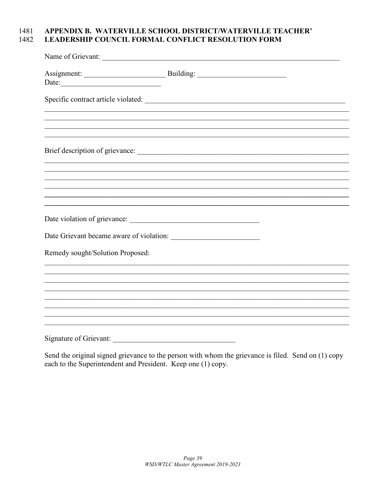### APPENDIX B. WATERVILLE SCHOOL DISTRICT/WATERVILLE TEACHER' 1481 LEADERSHIP COUNCIL FORMAL CONFLICT RESOLUTION FORM 1482

|                                  | Name of Grievant: |  |
|----------------------------------|-------------------|--|
| Date:                            |                   |  |
|                                  |                   |  |
|                                  |                   |  |
|                                  |                   |  |
|                                  |                   |  |
|                                  |                   |  |
|                                  |                   |  |
|                                  |                   |  |
|                                  |                   |  |
|                                  |                   |  |
|                                  |                   |  |
| Remedy sought/Solution Proposed: |                   |  |
|                                  |                   |  |
|                                  |                   |  |
|                                  |                   |  |
|                                  |                   |  |
|                                  |                   |  |
|                                  |                   |  |
|                                  |                   |  |

Send the original signed grievance to the person with whom the grievance is filed. Send on (1) copy each to the Superintendent and President. Keep one (1) copy.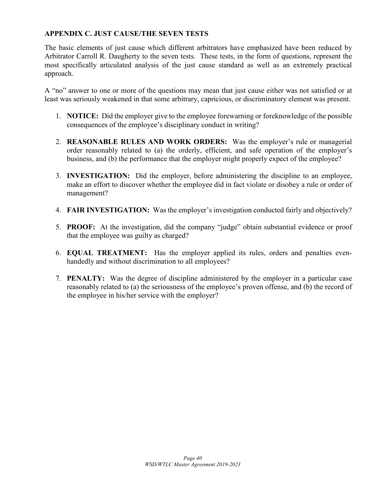### **APPENDIX C. JUST CAUSE/THE SEVEN TESTS**

The basic elements of just cause which different arbitrators have emphasized have been reduced by Arbitrator Carroll R. Daugherty to the seven tests. These tests, in the form of questions, represent the most specifically articulated analysis of the just cause standard as well as an extremely practical approach.

A "no" answer to one or more of the questions may mean that just cause either was not satisfied or at least was seriously weakened in that some arbitrary, capricious, or discriminatory element was present.

- 1. **NOTICE:** Did the employer give to the employee forewarning or foreknowledge of the possible consequences of the employee's disciplinary conduct in writing?
- 2. **REASONABLE RULES AND WORK ORDERS:** Was the employer's rule or managerial order reasonably related to (a) the orderly, efficient, and safe operation of the employer's business, and (b) the performance that the employer might properly expect of the employee?
- 3. **INVESTIGATION:** Did the employer, before administering the discipline to an employee, make an effort to discover whether the employee did in fact violate or disobey a rule or order of management?
- 4. **FAIR INVESTIGATION:** Was the employer's investigation conducted fairly and objectively?
- 5. **PROOF:** At the investigation, did the company "judge" obtain substantial evidence or proof that the employee was guilty as charged?
- 6. **EQUAL TREATMENT:** Has the employer applied its rules, orders and penalties evenhandedly and without discrimination to all employees?
- 7. **PENALTY:** Was the degree of discipline administered by the employer in a particular case reasonably related to (a) the seriousness of the employee's proven offense, and (b) the record of the employee in his/her service with the employer?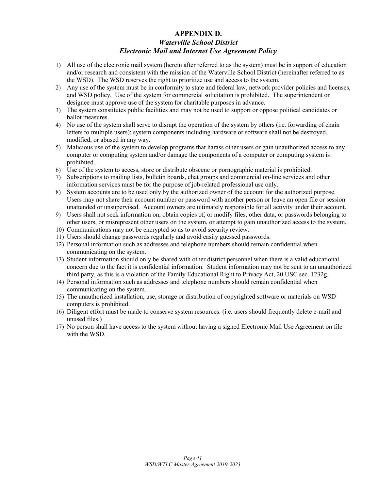### **APPENDIX D.**  *Waterville School District Electronic Mail and Internet Use Agreement Policy*

- 1) All use of the electronic mail system (herein after referred to as the system) must be in support of education and/or research and consistent with the mission of the Waterville School District (hereinafter referred to as the WSD). The WSD reserves the right to prioritize use and access to the system.
- 2) Any use of the system must be in conformity to state and federal law, network provider policies and licenses, and WSD policy. Use of the system for commercial solicitation is prohibited. The superintendent or designee must approve use of the system for charitable purposes in advance.
- 3) The system constitutes public facilities and may not be used to support or oppose political candidates or ballot measures.
- 4) No use of the system shall serve to disrupt the operation of the system by others (i.e. forwarding of chain letters to multiple users); system components including hardware or software shall not be destroyed, modified, or abused in any way.
- 5) Malicious use of the system to develop programs that harass other users or gain unauthorized access to any computer or computing system and/or damage the components of a computer or computing system is prohibited.
- 6) Use of the system to access, store or distribute obscene or pornographic material is prohibited.
- 7) Subscriptions to mailing lists, bulletin boards, chat groups and commercial on-line services and other information services must be for the purpose of job-related professional use only.
- 8) System accounts are to be used only by the authorized owner of the account for the authorized purpose. Users may not share their account number or password with another person or leave an open file or session unattended or unsupervised. Account owners are ultimately responsible for all activity under their account.
- 9) Users shall not seek information on, obtain copies of, or modify files, other data, or passwords belonging to other users, or misrepresent other users on the system, or attempt to gain unauthorized access to the system.
- 10) Communications may not be encrypted so as to avoid security review.
- 11) Users should change passwords regularly and avoid easily guessed passwords.
- 12) Personal information such as addresses and telephone numbers should remain confidential when communicating on the system.
- 13) Student information should only be shared with other district personnel when there is a valid educational concern due to the fact it is confidential information. Student information may not be sent to an unauthorized third party, as this is a violation of the Family Educational Right to Privacy Act, 20 USC sec. 1232g.
- 14) Personal information such as addresses and telephone numbers should remain confidential when communicating on the system.
- 15) The unauthorized installation, use, storage or distribution of copyrighted software or materials on WSD computers is prohibited.
- 16) Diligent effort must be made to conserve system resources. (i.e. users should frequently delete e-mail and unused files.)
- 17) No person shall have access to the system without having a signed Electronic Mail Use Agreement on file with the WSD.